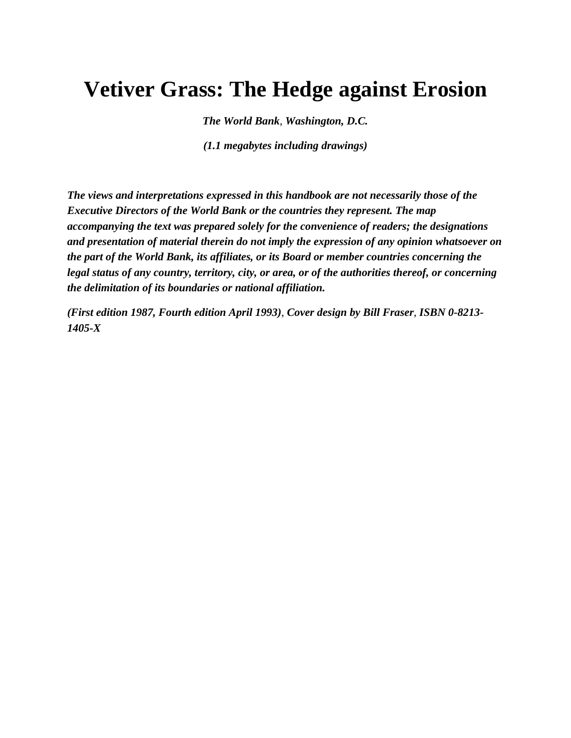# **Vetiver Grass: The Hedge against Erosion**

*The World Bank*, *Washington, D.C.*

*(1.1 megabytes including drawings)*

*The views and interpretations expressed in this handbook are not necessarily those of the Executive Directors of the World Bank or the countries they represent. The map accompanying the text was prepared solely for the convenience of readers; the designations and presentation of material therein do not imply the expression of any opinion whatsoever on the part of the World Bank, its affiliates, or its Board or member countries concerning the legal status of any country, territory, city, or area, or of the authorities thereof, or concerning the delimitation of its boundaries or national affiliation.*

*(First edition 1987, Fourth edition April 1993)*, *Cover design by Bill Fraser*, *ISBN 0-8213- 1405-X*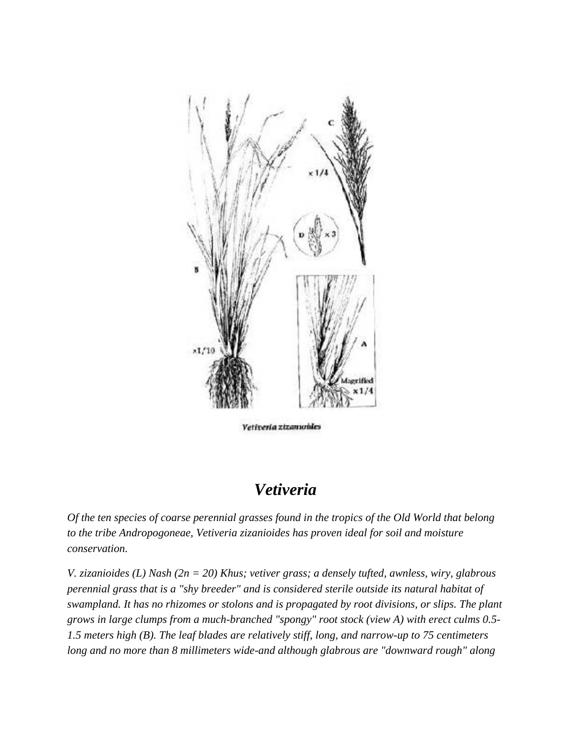

### *Vetiveria*

*Of the ten species of coarse perennial grasses found in the tropics of the Old World that belong to the tribe Andropogoneae, Vetiveria zizanioides has proven ideal for soil and moisture conservation.*

*V. zizanioides (L) Nash (2n = 20) Khus; vetiver grass; a densely tufted, awnless, wiry, glabrous perennial grass that is a "shy breeder" and is considered sterile outside its natural habitat of swampland. It has no rhizomes or stolons and is propagated by root divisions, or slips. The plant grows in large clumps from a much-branched "spongy" root stock (view A) with erect culms 0.5- 1.5 meters high (B). The leaf blades are relatively stiff, long, and narrow-up to 75 centimeters long and no more than 8 millimeters wide-and although glabrous are "downward rough" along*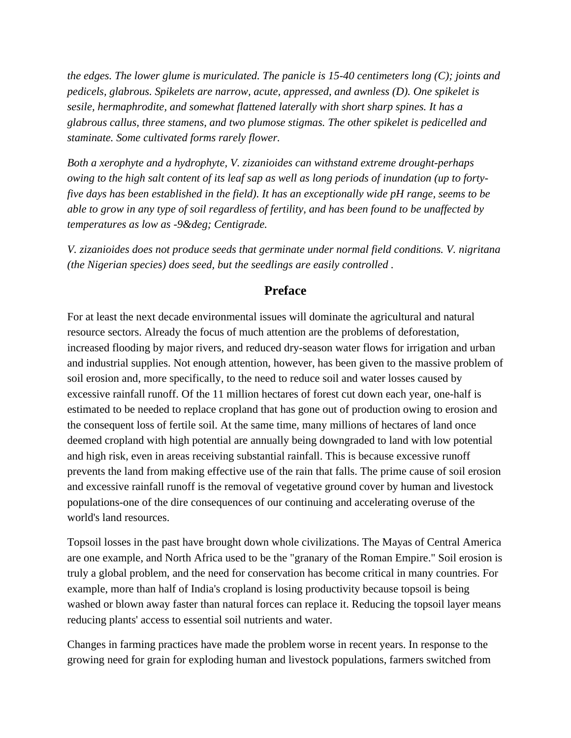*the edges. The lower glume is muriculated. The panicle is 15-40 centimeters long (C); joints and pedicels, glabrous. Spikelets are narrow, acute, appressed, and awnless (D). One spikelet is sesile, hermaphrodite, and somewhat flattened laterally with short sharp spines. It has a glabrous callus, three stamens, and two plumose stigmas. The other spikelet is pedicelled and staminate. Some cultivated forms rarely flower.*

*Both a xerophyte and a hydrophyte, V. zizanioides can withstand extreme drought-perhaps owing to the high salt content of its leaf sap as well as long periods of inundation (up to fortyfive days has been established in the field). It has an exceptionally wide pH range, seems to be able to grow in any type of soil regardless of fertility, and has been found to be unaffected by temperatures as low as -9° Centigrade.* 

*V. zizanioides does not produce seeds that germinate under normal field conditions. V. nigritana (the Nigerian species) does seed, but the seedlings are easily controlled .*

### **Preface**

For at least the next decade environmental issues will dominate the agricultural and natural resource sectors. Already the focus of much attention are the problems of deforestation, increased flooding by major rivers, and reduced dry-season water flows for irrigation and urban and industrial supplies. Not enough attention, however, has been given to the massive problem of soil erosion and, more specifically, to the need to reduce soil and water losses caused by excessive rainfall runoff. Of the 11 million hectares of forest cut down each year, one-half is estimated to be needed to replace cropland that has gone out of production owing to erosion and the consequent loss of fertile soil. At the same time, many millions of hectares of land once deemed cropland with high potential are annually being downgraded to land with low potential and high risk, even in areas receiving substantial rainfall. This is because excessive runoff prevents the land from making effective use of the rain that falls. The prime cause of soil erosion and excessive rainfall runoff is the removal of vegetative ground cover by human and livestock populations-one of the dire consequences of our continuing and accelerating overuse of the world's land resources.

Topsoil losses in the past have brought down whole civilizations. The Mayas of Central America are one example, and North Africa used to be the "granary of the Roman Empire." Soil erosion is truly a global problem, and the need for conservation has become critical in many countries. For example, more than half of India's cropland is losing productivity because topsoil is being washed or blown away faster than natural forces can replace it. Reducing the topsoil layer means reducing plants' access to essential soil nutrients and water.

Changes in farming practices have made the problem worse in recent years. In response to the growing need for grain for exploding human and livestock populations, farmers switched from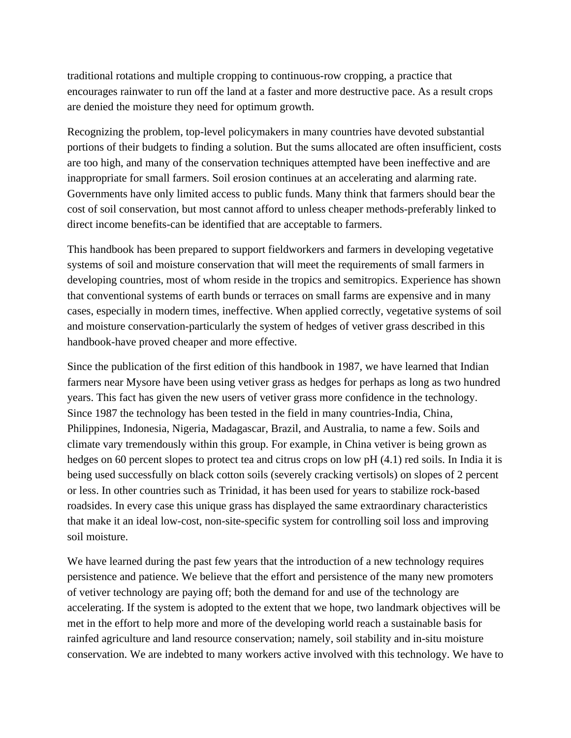traditional rotations and multiple cropping to continuous-row cropping, a practice that encourages rainwater to run off the land at a faster and more destructive pace. As a result crops are denied the moisture they need for optimum growth.

Recognizing the problem, top-level policymakers in many countries have devoted substantial portions of their budgets to finding a solution. But the sums allocated are often insufficient, costs are too high, and many of the conservation techniques attempted have been ineffective and are inappropriate for small farmers. Soil erosion continues at an accelerating and alarming rate. Governments have only limited access to public funds. Many think that farmers should bear the cost of soil conservation, but most cannot afford to unless cheaper methods-preferably linked to direct income benefits-can be identified that are acceptable to farmers.

This handbook has been prepared to support fieldworkers and farmers in developing vegetative systems of soil and moisture conservation that will meet the requirements of small farmers in developing countries, most of whom reside in the tropics and semitropics. Experience has shown that conventional systems of earth bunds or terraces on small farms are expensive and in many cases, especially in modern times, ineffective. When applied correctly, vegetative systems of soil and moisture conservation-particularly the system of hedges of vetiver grass described in this handbook-have proved cheaper and more effective.

Since the publication of the first edition of this handbook in 1987, we have learned that Indian farmers near Mysore have been using vetiver grass as hedges for perhaps as long as two hundred years. This fact has given the new users of vetiver grass more confidence in the technology. Since 1987 the technology has been tested in the field in many countries-India, China, Philippines, Indonesia, Nigeria, Madagascar, Brazil, and Australia, to name a few. Soils and climate vary tremendously within this group. For example, in China vetiver is being grown as hedges on 60 percent slopes to protect tea and citrus crops on low pH (4.1) red soils. In India it is being used successfully on black cotton soils (severely cracking vertisols) on slopes of 2 percent or less. In other countries such as Trinidad, it has been used for years to stabilize rock-based roadsides. In every case this unique grass has displayed the same extraordinary characteristics that make it an ideal low-cost, non-site-specific system for controlling soil loss and improving soil moisture.

We have learned during the past few years that the introduction of a new technology requires persistence and patience. We believe that the effort and persistence of the many new promoters of vetiver technology are paying off; both the demand for and use of the technology are accelerating. If the system is adopted to the extent that we hope, two landmark objectives will be met in the effort to help more and more of the developing world reach a sustainable basis for rainfed agriculture and land resource conservation; namely, soil stability and in-situ moisture conservation. We are indebted to many workers active involved with this technology. We have to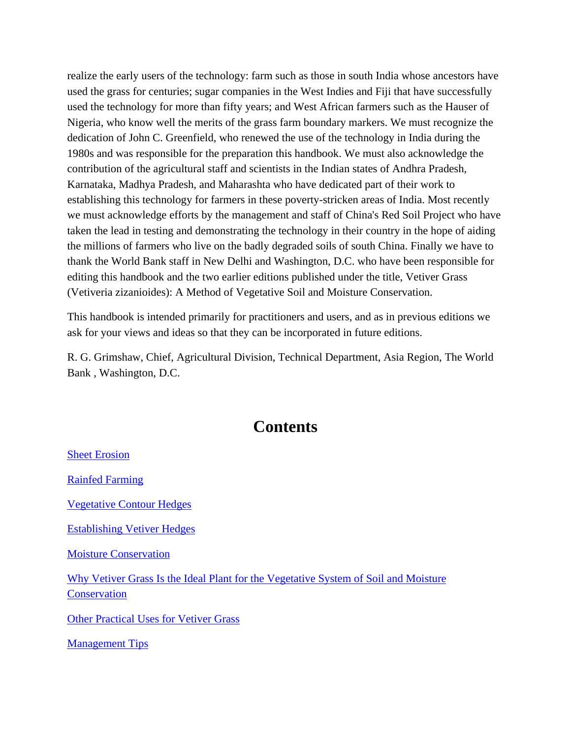realize the early users of the technology: farm such as those in south India whose ancestors have used the grass for centuries; sugar companies in the West Indies and Fiji that have successfully used the technology for more than fifty years; and West African farmers such as the Hauser of Nigeria, who know well the merits of the grass farm boundary markers. We must recognize the dedication of John C. Greenfield, who renewed the use of the technology in India during the 1980s and was responsible for the preparation this handbook. We must also acknowledge the contribution of the agricultural staff and scientists in the Indian states of Andhra Pradesh, Karnataka, Madhya Pradesh, and Maharashta who have dedicated part of their work to establishing this technology for farmers in these poverty-stricken areas of India. Most recently we must acknowledge efforts by the management and staff of China's Red Soil Project who have taken the lead in testing and demonstrating the technology in their country in the hope of aiding the millions of farmers who live on the badly degraded soils of south China. Finally we have to thank the World Bank staff in New Delhi and Washington, D.C. who have been responsible for editing this handbook and the two earlier editions published under the title, Vetiver Grass (Vetiveria zizanioides): A Method of Vegetative Soil and Moisture Conservation.

This handbook is intended primarily for practitioners and users, and as in previous editions we ask for your views and ideas so that they can be incorporated in future editions.

R. G. Grimshaw, Chief, Agricultural Division, Technical Department, Asia Region, The World Bank , Washington, D.C.

### **Contents**

| <b>Sheet Erosion</b>                                                                                |
|-----------------------------------------------------------------------------------------------------|
| <b>Rainfed Farming</b>                                                                              |
| <b>Vegetative Contour Hedges</b>                                                                    |
| <b>Establishing Vetiver Hedges</b>                                                                  |
| <b>Moisture Conservation</b>                                                                        |
| Why Vetiver Grass Is the Ideal Plant for the Vegetative System of Soil and Moisture<br>Conservation |
| <b>Other Practical Uses for Vetiver Grass</b>                                                       |
| <b>Management Tips</b>                                                                              |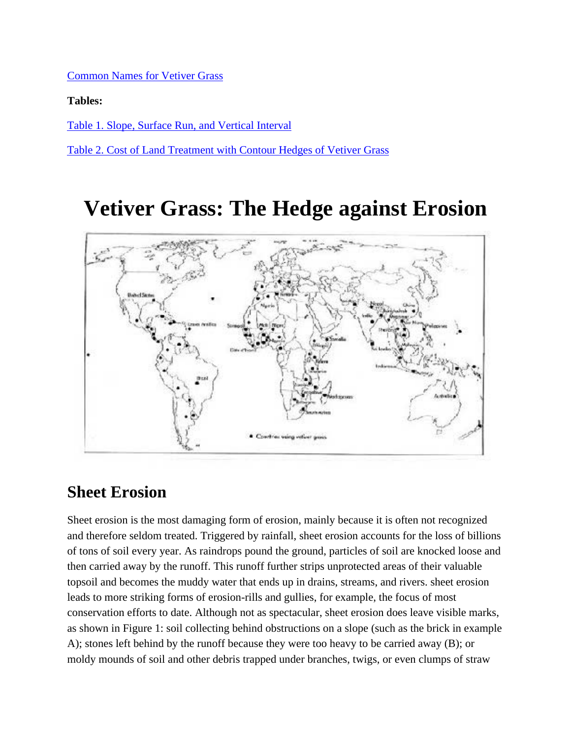### Common Names for Vetiver Grass

**Tables:**

Table 1. Slope, Surface Run, and Vertical Interval

Table 2. Cost of Land Treatment with Contour Hedges of Vetiver Grass

# **Vetiver Grass: The Hedge against Erosion**



### **Sheet Erosion**

Sheet erosion is the most damaging form of erosion, mainly because it is often not recognized and therefore seldom treated. Triggered by rainfall, sheet erosion accounts for the loss of billions of tons of soil every year. As raindrops pound the ground, particles of soil are knocked loose and then carried away by the runoff. This runoff further strips unprotected areas of their valuable topsoil and becomes the muddy water that ends up in drains, streams, and rivers. sheet erosion leads to more striking forms of erosion-rills and gullies, for example, the focus of most conservation efforts to date. Although not as spectacular, sheet erosion does leave visible marks, as shown in Figure 1: soil collecting behind obstructions on a slope (such as the brick in example A); stones left behind by the runoff because they were too heavy to be carried away (B); or moldy mounds of soil and other debris trapped under branches, twigs, or even clumps of straw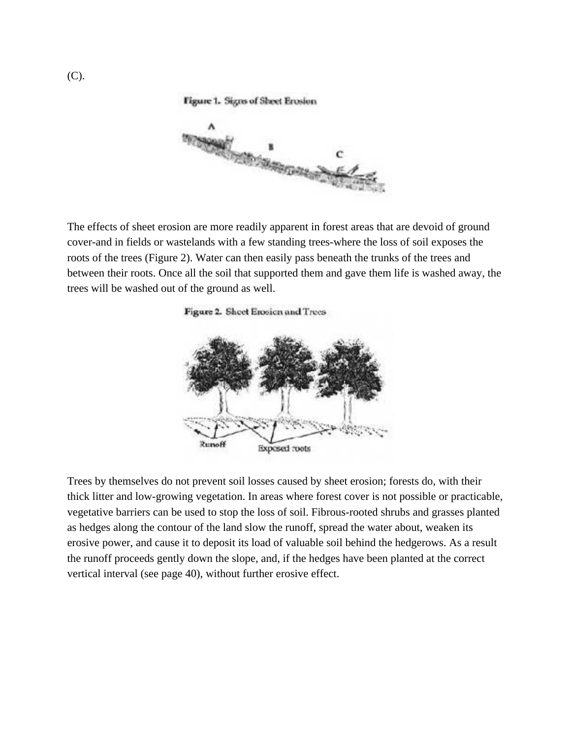Figure 1. Signs of Sheet Erosion



The effects of sheet erosion are more readily apparent in forest areas that are devoid of ground cover-and in fields or wastelands with a few standing trees-where the loss of soil exposes the roots of the trees (Figure 2). Water can then easily pass beneath the trunks of the trees and between their roots. Once all the soil that supported them and gave them life is washed away, the trees will be washed out of the ground as well.





Trees by themselves do not prevent soil losses caused by sheet erosion; forests do, with their thick litter and low-growing vegetation. In areas where forest cover is not possible or practicable, vegetative barriers can be used to stop the loss of soil. Fibrous-rooted shrubs and grasses planted as hedges along the contour of the land slow the runoff, spread the water about, weaken its erosive power, and cause it to deposit its load of valuable soil behind the hedgerows. As a result the runoff proceeds gently down the slope, and, if the hedges have been planted at the correct vertical interval (see page 40), without further erosive effect.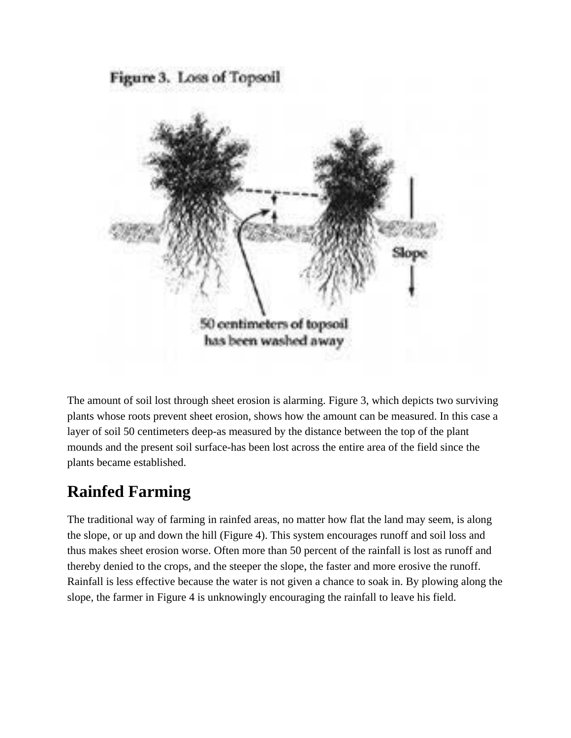### Figure 3. Loss of Topsoil



The amount of soil lost through sheet erosion is alarming. Figure 3, which depicts two surviving plants whose roots prevent sheet erosion, shows how the amount can be measured. In this case a layer of soil 50 centimeters deep-as measured by the distance between the top of the plant mounds and the present soil surface-has been lost across the entire area of the field since the plants became established.

### **Rainfed Farming**

The traditional way of farming in rainfed areas, no matter how flat the land may seem, is along the slope, or up and down the hill (Figure 4). This system encourages runoff and soil loss and thus makes sheet erosion worse. Often more than 50 percent of the rainfall is lost as runoff and thereby denied to the crops, and the steeper the slope, the faster and more erosive the runoff. Rainfall is less effective because the water is not given a chance to soak in. By plowing along the slope, the farmer in Figure 4 is unknowingly encouraging the rainfall to leave his field.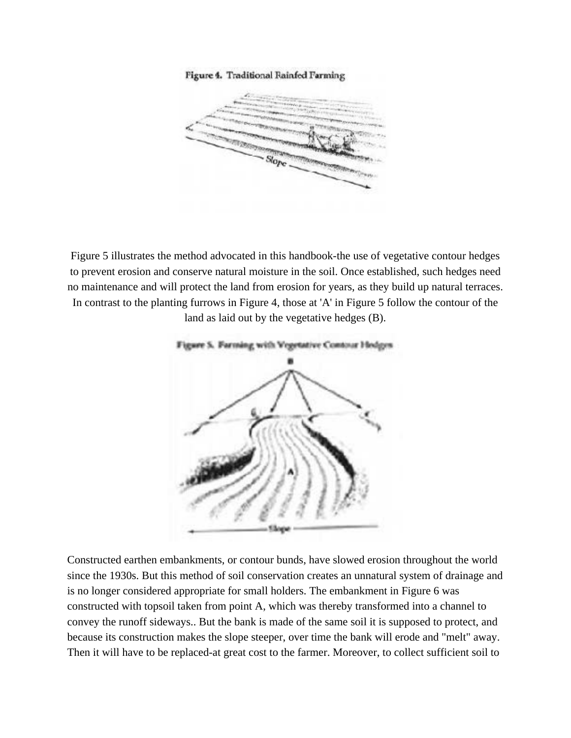

Figure 4. Traditional Rainfed Farming

Figure 5 illustrates the method advocated in this handbook-the use of vegetative contour hedges to prevent erosion and conserve natural moisture in the soil. Once established, such hedges need no maintenance and will protect the land from erosion for years, as they build up natural terraces. In contrast to the planting furrows in Figure 4, those at 'A' in Figure 5 follow the contour of the land as laid out by the vegetative hedges (B).



Constructed earthen embankments, or contour bunds, have slowed erosion throughout the world since the 1930s. But this method of soil conservation creates an unnatural system of drainage and is no longer considered appropriate for small holders. The embankment in Figure 6 was constructed with topsoil taken from point A, which was thereby transformed into a channel to convey the runoff sideways.. But the bank is made of the same soil it is supposed to protect, and because its construction makes the slope steeper, over time the bank will erode and "melt" away. Then it will have to be replaced-at great cost to the farmer. Moreover, to collect sufficient soil to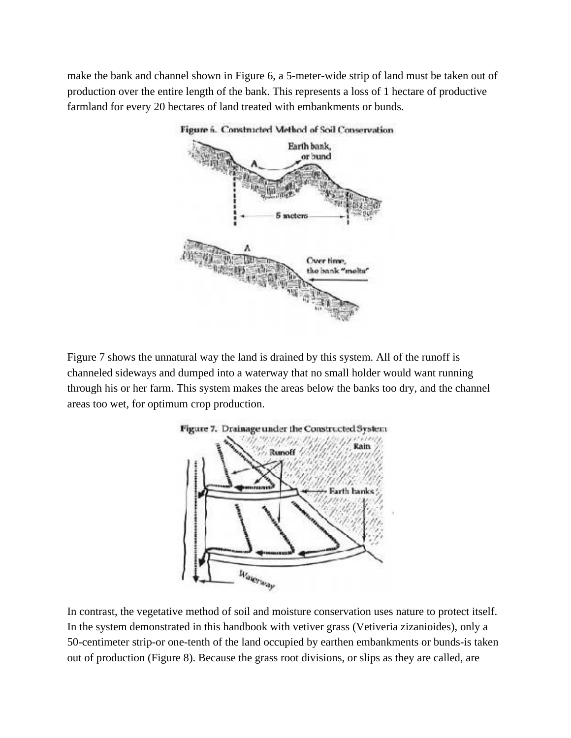make the bank and channel shown in Figure 6, a 5-meter-wide strip of land must be taken out of production over the entire length of the bank. This represents a loss of 1 hectare of productive farmland for every 20 hectares of land treated with embankments or bunds.



Figure 6. Constructed Method of Soil Conservation

Figure 7 shows the unnatural way the land is drained by this system. All of the runoff is channeled sideways and dumped into a waterway that no small holder would want running through his or her farm. This system makes the areas below the banks too dry, and the channel areas too wet, for optimum crop production.



In contrast, the vegetative method of soil and moisture conservation uses nature to protect itself. In the system demonstrated in this handbook with vetiver grass (Vetiveria zizanioides), only a 50-centimeter strip-or one-tenth of the land occupied by earthen embankments or bunds-is taken out of production (Figure 8). Because the grass root divisions, or slips as they are called, are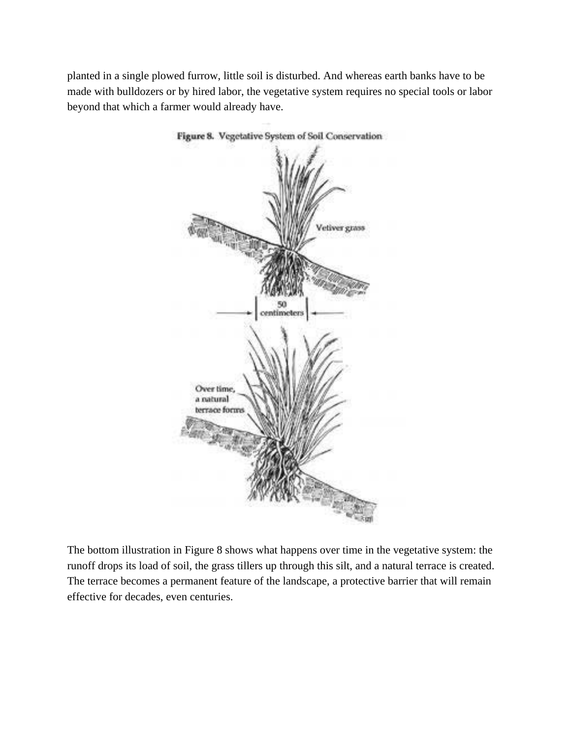planted in a single plowed furrow, little soil is disturbed. And whereas earth banks have to be made with bulldozers or by hired labor, the vegetative system requires no special tools or labor beyond that which a farmer would already have.



Figure 8. Vegetative System of Soil Conservation

The bottom illustration in Figure 8 shows what happens over time in the vegetative system: the runoff drops its load of soil, the grass tillers up through this silt, and a natural terrace is created. The terrace becomes a permanent feature of the landscape, a protective barrier that will remain effective for decades, even centuries.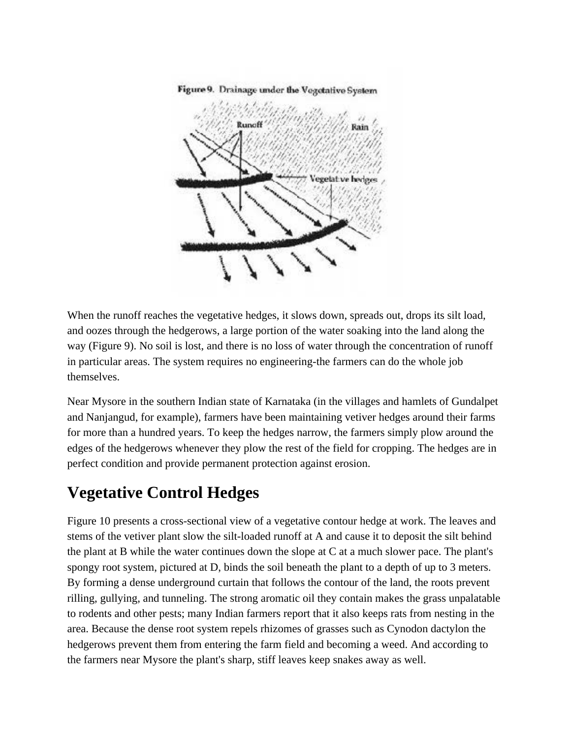

When the runoff reaches the vegetative hedges, it slows down, spreads out, drops its silt load, and oozes through the hedgerows, a large portion of the water soaking into the land along the way (Figure 9). No soil is lost, and there is no loss of water through the concentration of runoff in particular areas. The system requires no engineering-the farmers can do the whole job themselves.

Near Mysore in the southern Indian state of Karnataka (in the villages and hamlets of Gundalpet and Nanjangud, for example), farmers have been maintaining vetiver hedges around their farms for more than a hundred years. To keep the hedges narrow, the farmers simply plow around the edges of the hedgerows whenever they plow the rest of the field for cropping. The hedges are in perfect condition and provide permanent protection against erosion.

# **Vegetative Control Hedges**

Figure 10 presents a cross-sectional view of a vegetative contour hedge at work. The leaves and stems of the vetiver plant slow the silt-loaded runoff at A and cause it to deposit the silt behind the plant at B while the water continues down the slope at C at a much slower pace. The plant's spongy root system, pictured at D, binds the soil beneath the plant to a depth of up to 3 meters. By forming a dense underground curtain that follows the contour of the land, the roots prevent rilling, gullying, and tunneling. The strong aromatic oil they contain makes the grass unpalatable to rodents and other pests; many Indian farmers report that it also keeps rats from nesting in the area. Because the dense root system repels rhizomes of grasses such as Cynodon dactylon the hedgerows prevent them from entering the farm field and becoming a weed. And according to the farmers near Mysore the plant's sharp, stiff leaves keep snakes away as well.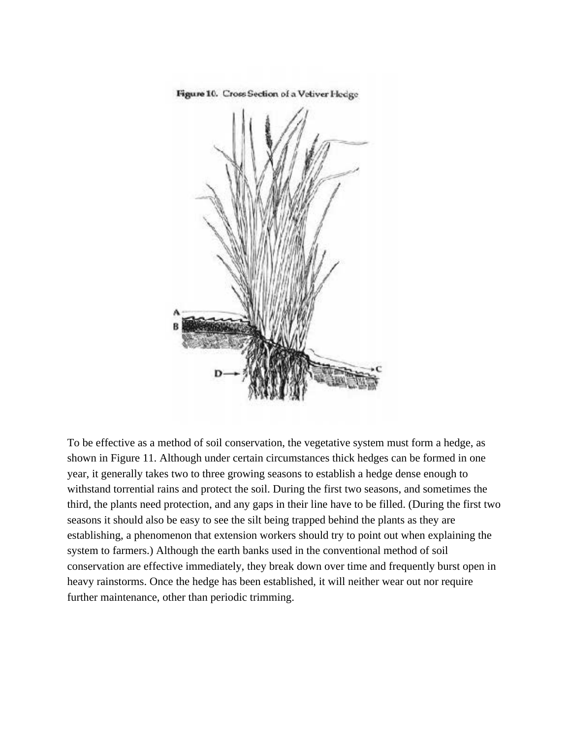

To be effective as a method of soil conservation, the vegetative system must form a hedge, as shown in Figure 11. Although under certain circumstances thick hedges can be formed in one year, it generally takes two to three growing seasons to establish a hedge dense enough to withstand torrential rains and protect the soil. During the first two seasons, and sometimes the third, the plants need protection, and any gaps in their line have to be filled. (During the first two seasons it should also be easy to see the silt being trapped behind the plants as they are establishing, a phenomenon that extension workers should try to point out when explaining the system to farmers.) Although the earth banks used in the conventional method of soil conservation are effective immediately, they break down over time and frequently burst open in heavy rainstorms. Once the hedge has been established, it will neither wear out nor require further maintenance, other than periodic trimming.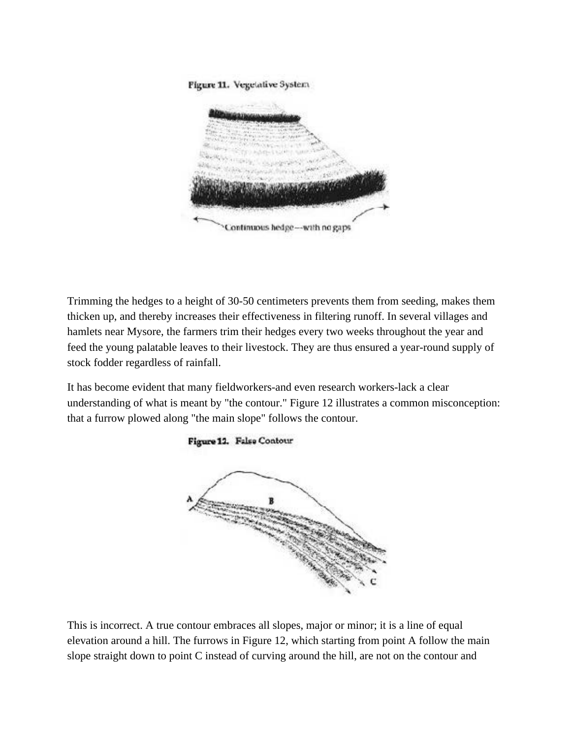

Trimming the hedges to a height of 30-50 centimeters prevents them from seeding, makes them thicken up, and thereby increases their effectiveness in filtering runoff. In several villages and hamlets near Mysore, the farmers trim their hedges every two weeks throughout the year and feed the young palatable leaves to their livestock. They are thus ensured a year-round supply of stock fodder regardless of rainfall.

It has become evident that many fieldworkers-and even research workers-lack a clear understanding of what is meant by "the contour." Figure 12 illustrates a common misconception: that a furrow plowed along "the main slope" follows the contour.



#### Figure 12. False Contour

This is incorrect. A true contour embraces all slopes, major or minor; it is a line of equal elevation around a hill. The furrows in Figure 12, which starting from point A follow the main slope straight down to point C instead of curving around the hill, are not on the contour and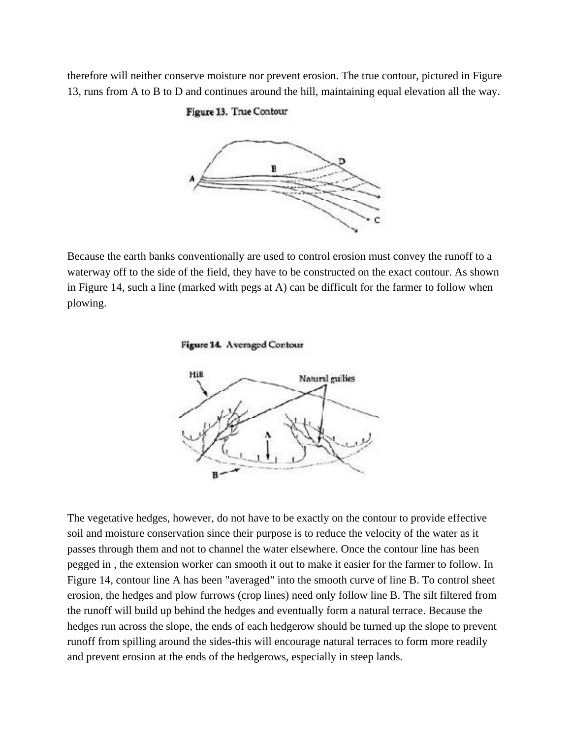therefore will neither conserve moisture nor prevent erosion. The true contour, pictured in Figure 13, runs from A to B to D and continues around the hill, maintaining equal elevation all the way.





Because the earth banks conventionally are used to control erosion must convey the runoff to a waterway off to the side of the field, they have to be constructed on the exact contour. As shown in Figure 14, such a line (marked with pegs at A) can be difficult for the farmer to follow when plowing.





The vegetative hedges, however, do not have to be exactly on the contour to provide effective soil and moisture conservation since their purpose is to reduce the velocity of the water as it passes through them and not to channel the water elsewhere. Once the contour line has been pegged in , the extension worker can smooth it out to make it easier for the farmer to follow. In Figure 14, contour line A has been "averaged" into the smooth curve of line B. To control sheet erosion, the hedges and plow furrows (crop lines) need only follow line B. The silt filtered from the runoff will build up behind the hedges and eventually form a natural terrace. Because the hedges run across the slope, the ends of each hedgerow should be turned up the slope to prevent runoff from spilling around the sides-this will encourage natural terraces to form more readily and prevent erosion at the ends of the hedgerows, especially in steep lands.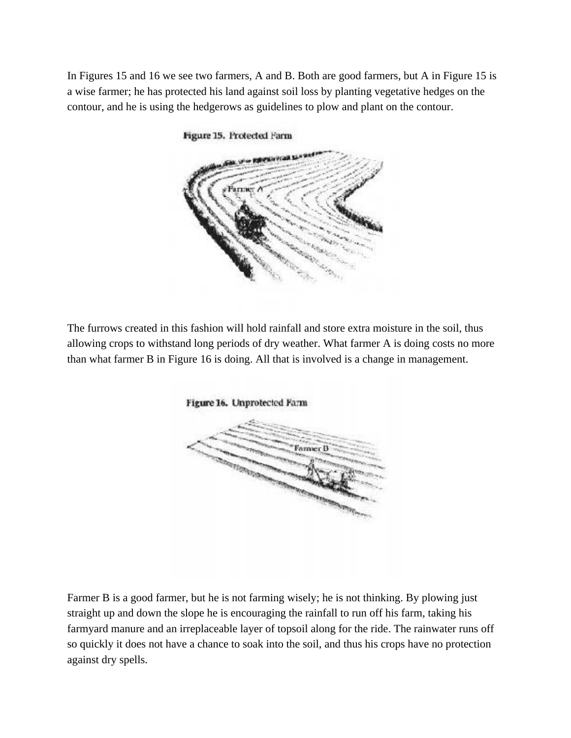In Figures 15 and 16 we see two farmers, A and B. Both are good farmers, but A in Figure 15 is a wise farmer; he has protected his land against soil loss by planting vegetative hedges on the contour, and he is using the hedgerows as guidelines to plow and plant on the contour.



The furrows created in this fashion will hold rainfall and store extra moisture in the soil, thus allowing crops to withstand long periods of dry weather. What farmer A is doing costs no more than what farmer B in Figure 16 is doing. All that is involved is a change in management.



Farmer B is a good farmer, but he is not farming wisely; he is not thinking. By plowing just straight up and down the slope he is encouraging the rainfall to run off his farm, taking his farmyard manure and an irreplaceable layer of topsoil along for the ride. The rainwater runs off so quickly it does not have a chance to soak into the soil, and thus his crops have no protection against dry spells.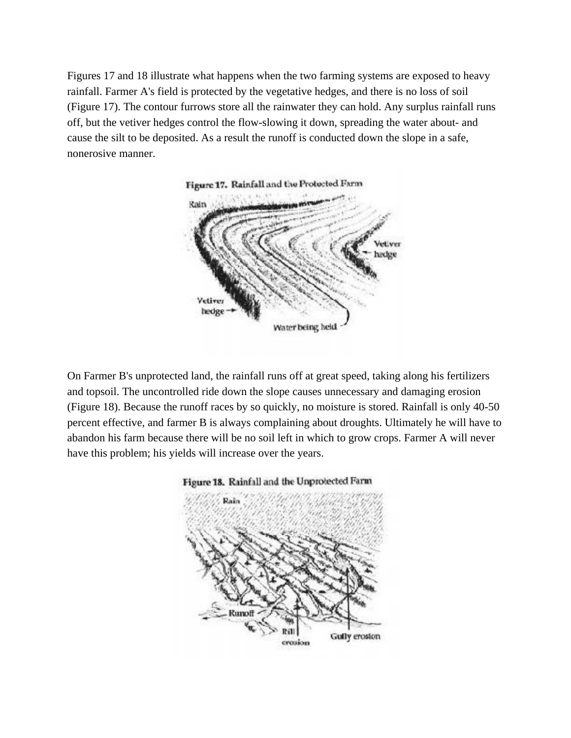Figures 17 and 18 illustrate what happens when the two farming systems are exposed to heavy rainfall. Farmer A's field is protected by the vegetative hedges, and there is no loss of soil (Figure 17). The contour furrows store all the rainwater they can hold. Any surplus rainfall runs off, but the vetiver hedges control the flow-slowing it down, spreading the water about- and cause the silt to be deposited. As a result the runoff is conducted down the slope in a safe, nonerosive manner.



On Farmer B's unprotected land, the rainfall runs off at great speed, taking along his fertilizers and topsoil. The uncontrolled ride down the slope causes unnecessary and damaging erosion (Figure 18). Because the runoff races by so quickly, no moisture is stored. Rainfall is only 40-50 percent effective, and farmer B is always complaining about droughts. Ultimately he will have to abandon his farm because there will be no soil left in which to grow crops. Farmer A will never have this problem; his yields will increase over the years.



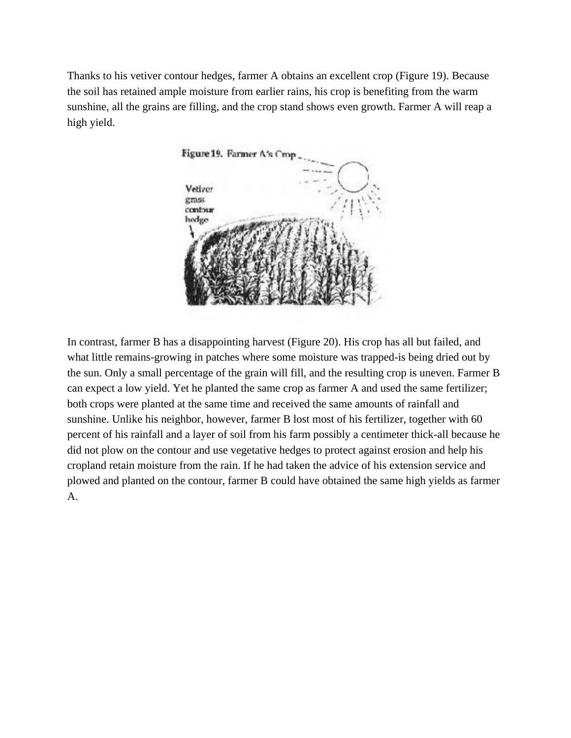Thanks to his vetiver contour hedges, farmer A obtains an excellent crop (Figure 19). Because the soil has retained ample moisture from earlier rains, his crop is benefiting from the warm sunshine, all the grains are filling, and the crop stand shows even growth. Farmer A will reap a high yield.



In contrast, farmer B has a disappointing harvest (Figure 20). His crop has all but failed, and what little remains-growing in patches where some moisture was trapped-is being dried out by the sun. Only a small percentage of the grain will fill, and the resulting crop is uneven. Farmer B can expect a low yield. Yet he planted the same crop as farmer A and used the same fertilizer; both crops were planted at the same time and received the same amounts of rainfall and sunshine. Unlike his neighbor, however, farmer B lost most of his fertilizer, together with 60 percent of his rainfall and a layer of soil from his farm possibly a centimeter thick-all because he did not plow on the contour and use vegetative hedges to protect against erosion and help his cropland retain moisture from the rain. If he had taken the advice of his extension service and plowed and planted on the contour, farmer B could have obtained the same high yields as farmer A.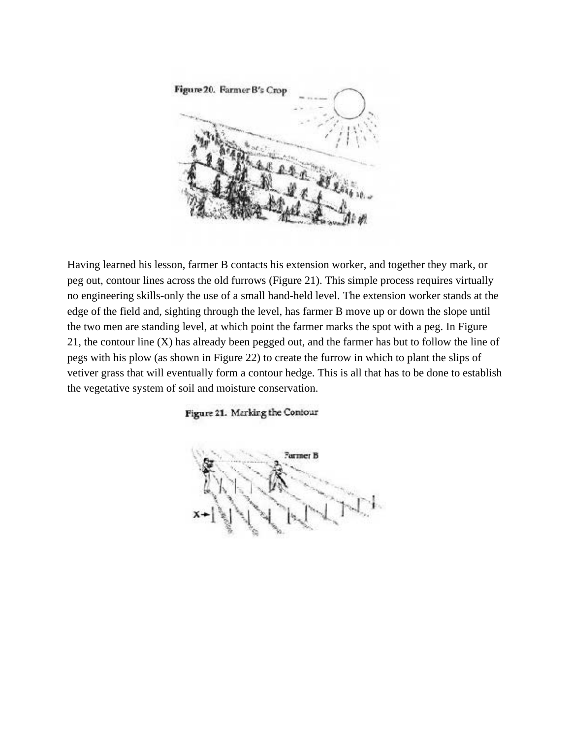

Having learned his lesson, farmer B contacts his extension worker, and together they mark, or peg out, contour lines across the old furrows (Figure 21). This simple process requires virtually no engineering skills-only the use of a small hand-held level. The extension worker stands at the edge of the field and, sighting through the level, has farmer B move up or down the slope until the two men are standing level, at which point the farmer marks the spot with a peg. In Figure 21, the contour line (X) has already been pegged out, and the farmer has but to follow the line of pegs with his plow (as shown in Figure 22) to create the furrow in which to plant the slips of vetiver grass that will eventually form a contour hedge. This is all that has to be done to establish the vegetative system of soil and moisture conservation.

#### Figure 21. Marking the Contour

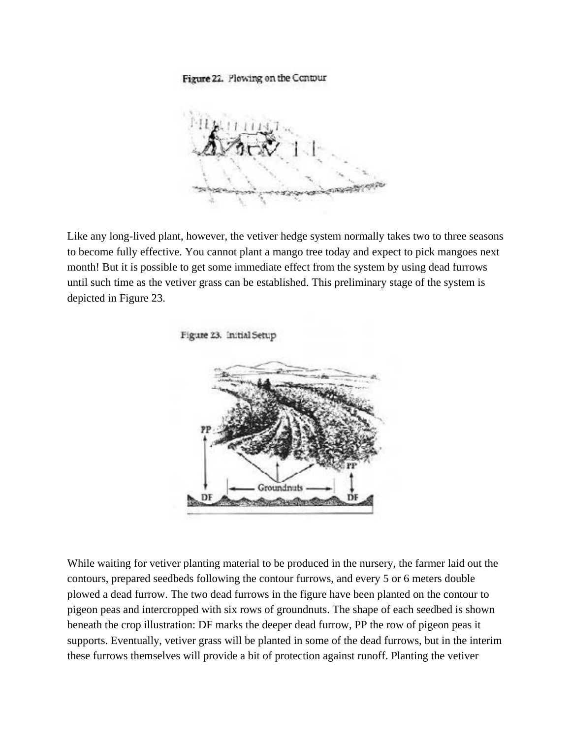#### Figure 22. Plowing on the Contour



Like any long-lived plant, however, the vetiver hedge system normally takes two to three seasons to become fully effective. You cannot plant a mango tree today and expect to pick mangoes next month! But it is possible to get some immediate effect from the system by using dead furrows until such time as the vetiver grass can be established. This preliminary stage of the system is depicted in Figure 23.



While waiting for vetiver planting material to be produced in the nursery, the farmer laid out the contours, prepared seedbeds following the contour furrows, and every 5 or 6 meters double plowed a dead furrow. The two dead furrows in the figure have been planted on the contour to pigeon peas and intercropped with six rows of groundnuts. The shape of each seedbed is shown beneath the crop illustration: DF marks the deeper dead furrow, PP the row of pigeon peas it supports. Eventually, vetiver grass will be planted in some of the dead furrows, but in the interim these furrows themselves will provide a bit of protection against runoff. Planting the vetiver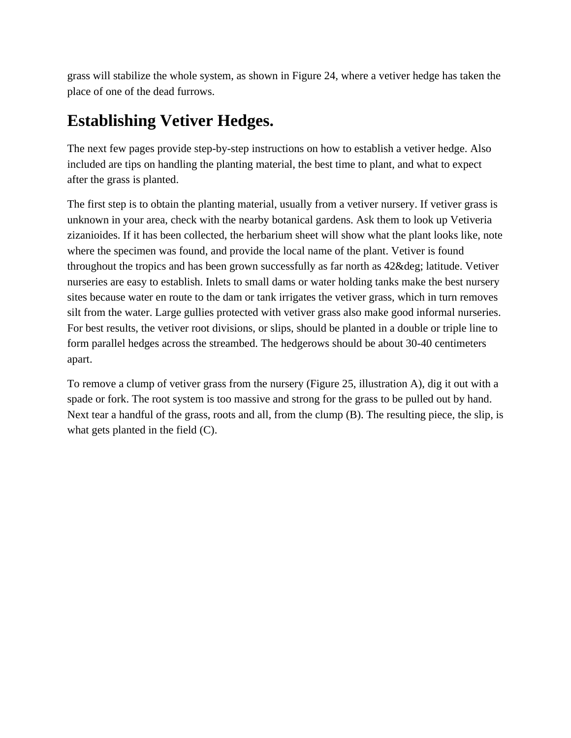grass will stabilize the whole system, as shown in Figure 24, where a vetiver hedge has taken the place of one of the dead furrows.

### **Establishing Vetiver Hedges.**

The next few pages provide step-by-step instructions on how to establish a vetiver hedge. Also included are tips on handling the planting material, the best time to plant, and what to expect after the grass is planted.

The first step is to obtain the planting material, usually from a vetiver nursery. If vetiver grass is unknown in your area, check with the nearby botanical gardens. Ask them to look up Vetiveria zizanioides. If it has been collected, the herbarium sheet will show what the plant looks like, note where the specimen was found, and provide the local name of the plant. Vetiver is found throughout the tropics and has been grown successfully as far north as  $42 \&$  deg; latitude. Vetiver nurseries are easy to establish. Inlets to small dams or water holding tanks make the best nursery sites because water en route to the dam or tank irrigates the vetiver grass, which in turn removes silt from the water. Large gullies protected with vetiver grass also make good informal nurseries. For best results, the vetiver root divisions, or slips, should be planted in a double or triple line to form parallel hedges across the streambed. The hedgerows should be about 30-40 centimeters apart.

To remove a clump of vetiver grass from the nursery (Figure 25, illustration A), dig it out with a spade or fork. The root system is too massive and strong for the grass to be pulled out by hand. Next tear a handful of the grass, roots and all, from the clump (B). The resulting piece, the slip, is what gets planted in the field (C).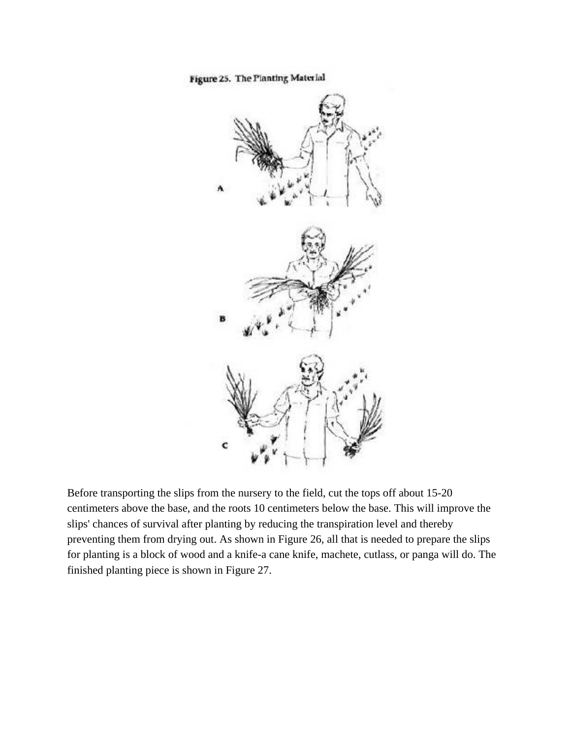



Before transporting the slips from the nursery to the field, cut the tops off about 15-20 centimeters above the base, and the roots 10 centimeters below the base. This will improve the slips' chances of survival after planting by reducing the transpiration level and thereby preventing them from drying out. As shown in Figure 26, all that is needed to prepare the slips for planting is a block of wood and a knife-a cane knife, machete, cutlass, or panga will do. The finished planting piece is shown in Figure 27.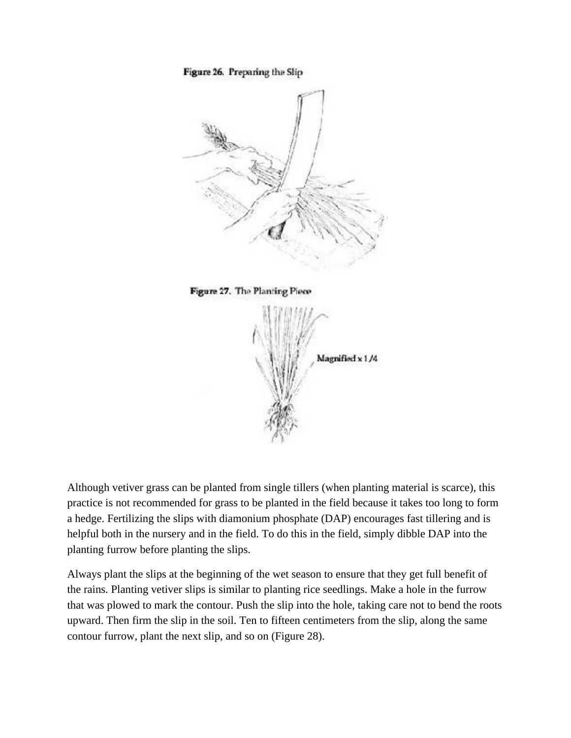Figure 26. Preparing the Slip



Although vetiver grass can be planted from single tillers (when planting material is scarce), this practice is not recommended for grass to be planted in the field because it takes too long to form a hedge. Fertilizing the slips with diamonium phosphate (DAP) encourages fast tillering and is helpful both in the nursery and in the field. To do this in the field, simply dibble DAP into the planting furrow before planting the slips.

Always plant the slips at the beginning of the wet season to ensure that they get full benefit of the rains. Planting vetiver slips is similar to planting rice seedlings. Make a hole in the furrow that was plowed to mark the contour. Push the slip into the hole, taking care not to bend the roots upward. Then firm the slip in the soil. Ten to fifteen centimeters from the slip, along the same contour furrow, plant the next slip, and so on (Figure 28).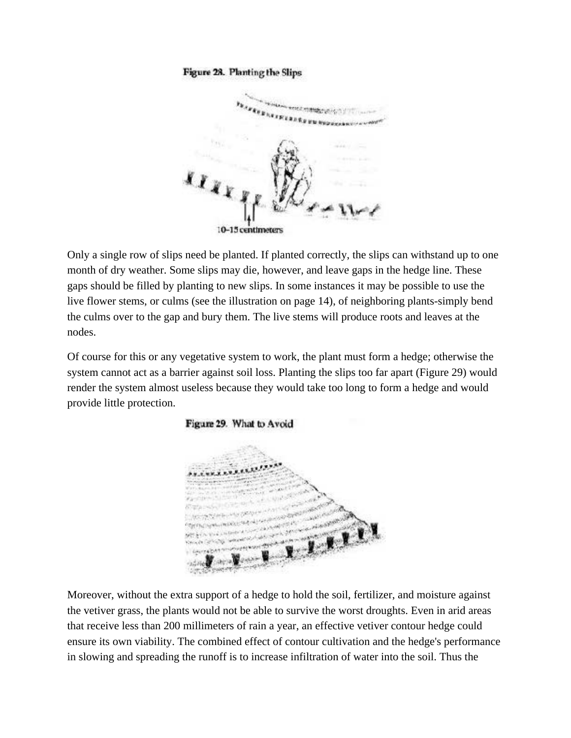#### Figure 28. Planting the Slips



Only a single row of slips need be planted. If planted correctly, the slips can withstand up to one month of dry weather. Some slips may die, however, and leave gaps in the hedge line. These gaps should be filled by planting to new slips. In some instances it may be possible to use the live flower stems, or culms (see the illustration on page 14), of neighboring plants-simply bend the culms over to the gap and bury them. The live stems will produce roots and leaves at the nodes.

Of course for this or any vegetative system to work, the plant must form a hedge; otherwise the system cannot act as a barrier against soil loss. Planting the slips too far apart (Figure 29) would render the system almost useless because they would take too long to form a hedge and would provide little protection.



Figure 29. What to Avoid

Moreover, without the extra support of a hedge to hold the soil, fertilizer, and moisture against the vetiver grass, the plants would not be able to survive the worst droughts. Even in arid areas that receive less than 200 millimeters of rain a year, an effective vetiver contour hedge could ensure its own viability. The combined effect of contour cultivation and the hedge's performance in slowing and spreading the runoff is to increase infiltration of water into the soil. Thus the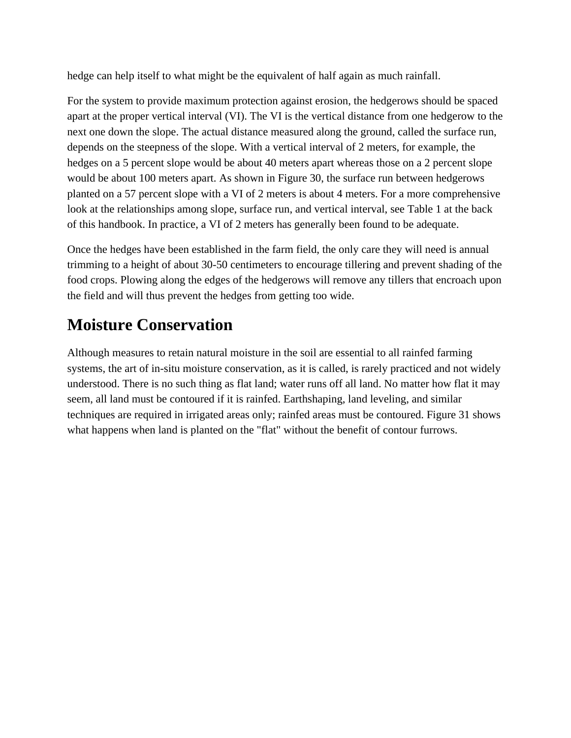hedge can help itself to what might be the equivalent of half again as much rainfall.

For the system to provide maximum protection against erosion, the hedgerows should be spaced apart at the proper vertical interval (VI). The VI is the vertical distance from one hedgerow to the next one down the slope. The actual distance measured along the ground, called the surface run, depends on the steepness of the slope. With a vertical interval of 2 meters, for example, the hedges on a 5 percent slope would be about 40 meters apart whereas those on a 2 percent slope would be about 100 meters apart. As shown in Figure 30, the surface run between hedgerows planted on a 57 percent slope with a VI of 2 meters is about 4 meters. For a more comprehensive look at the relationships among slope, surface run, and vertical interval, see Table 1 at the back of this handbook. In practice, a VI of 2 meters has generally been found to be adequate.

Once the hedges have been established in the farm field, the only care they will need is annual trimming to a height of about 30-50 centimeters to encourage tillering and prevent shading of the food crops. Plowing along the edges of the hedgerows will remove any tillers that encroach upon the field and will thus prevent the hedges from getting too wide.

### **Moisture Conservation**

Although measures to retain natural moisture in the soil are essential to all rainfed farming systems, the art of in-situ moisture conservation, as it is called, is rarely practiced and not widely understood. There is no such thing as flat land; water runs off all land. No matter how flat it may seem, all land must be contoured if it is rainfed. Earthshaping, land leveling, and similar techniques are required in irrigated areas only; rainfed areas must be contoured. Figure 31 shows what happens when land is planted on the "flat" without the benefit of contour furrows.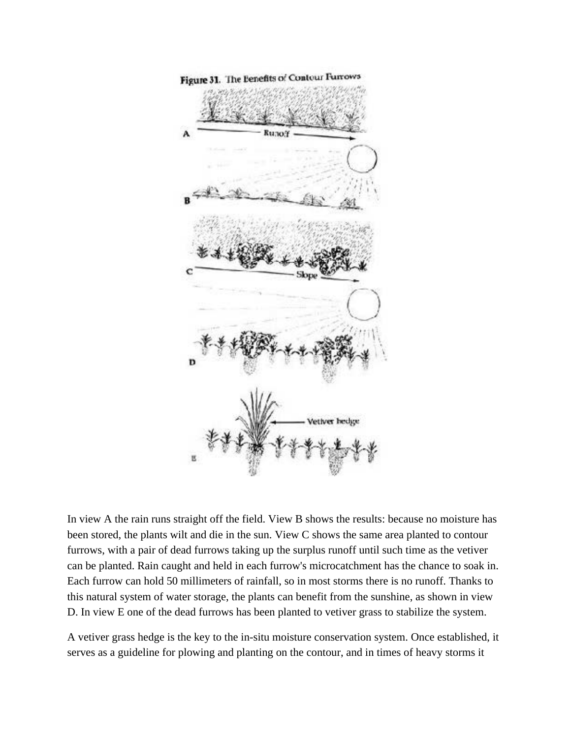

In view A the rain runs straight off the field. View B shows the results: because no moisture has been stored, the plants wilt and die in the sun. View C shows the same area planted to contour furrows, with a pair of dead furrows taking up the surplus runoff until such time as the vetiver can be planted. Rain caught and held in each furrow's microcatchment has the chance to soak in. Each furrow can hold 50 millimeters of rainfall, so in most storms there is no runoff. Thanks to this natural system of water storage, the plants can benefit from the sunshine, as shown in view D. In view E one of the dead furrows has been planted to vetiver grass to stabilize the system.

A vetiver grass hedge is the key to the in-situ moisture conservation system. Once established, it serves as a guideline for plowing and planting on the contour, and in times of heavy storms it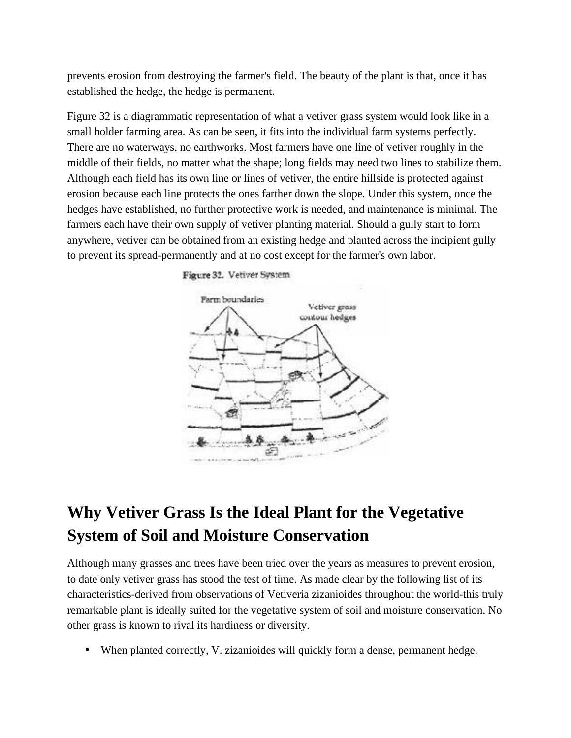prevents erosion from destroying the farmer's field. The beauty of the plant is that, once it has established the hedge, the hedge is permanent.

Figure 32 is a diagrammatic representation of what a vetiver grass system would look like in a small holder farming area. As can be seen, it fits into the individual farm systems perfectly. There are no waterways, no earthworks. Most farmers have one line of vetiver roughly in the middle of their fields, no matter what the shape; long fields may need two lines to stabilize them. Although each field has its own line or lines of vetiver, the entire hillside is protected against erosion because each line protects the ones farther down the slope. Under this system, once the hedges have established, no further protective work is needed, and maintenance is minimal. The farmers each have their own supply of vetiver planting material. Should a gully start to form anywhere, vetiver can be obtained from an existing hedge and planted across the incipient gully to prevent its spread-permanently and at no cost except for the farmer's own labor.



## **Why Vetiver Grass Is the Ideal Plant for the Vegetative System of Soil and Moisture Conservation**

Although many grasses and trees have been tried over the years as measures to prevent erosion, to date only vetiver grass has stood the test of time. As made clear by the following list of its characteristics-derived from observations of Vetiveria zizanioides throughout the world-this truly remarkable plant is ideally suited for the vegetative system of soil and moisture conservation. No other grass is known to rival its hardiness or diversity.

When planted correctly, V. zizanioides will quickly form a dense, permanent hedge.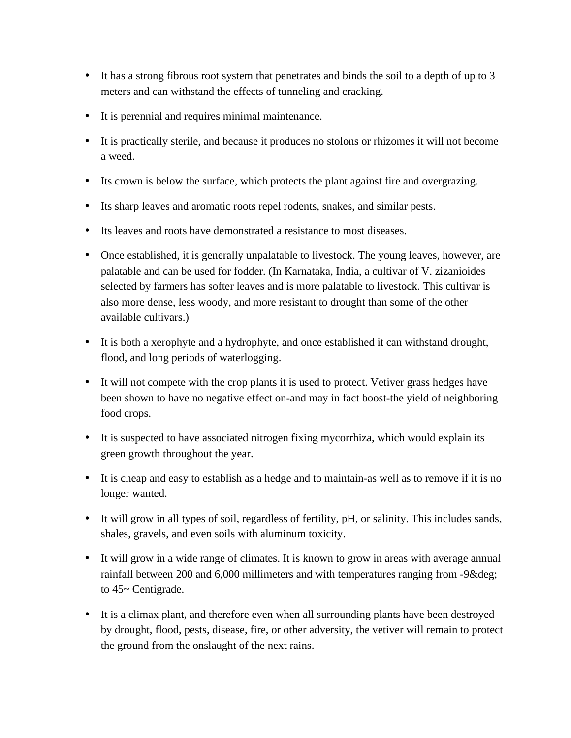- It has a strong fibrous root system that penetrates and binds the soil to a depth of up to 3 meters and can withstand the effects of tunneling and cracking.
- It is perennial and requires minimal maintenance.
- It is practically sterile, and because it produces no stolons or rhizomes it will not become a weed.
- Its crown is below the surface, which protects the plant against fire and overgrazing.
- Its sharp leaves and aromatic roots repel rodents, snakes, and similar pests.
- Its leaves and roots have demonstrated a resistance to most diseases.
- Once established, it is generally unpalatable to livestock. The young leaves, however, are palatable and can be used for fodder. (In Karnataka, India, a cultivar of V. zizanioides selected by farmers has softer leaves and is more palatable to livestock. This cultivar is also more dense, less woody, and more resistant to drought than some of the other available cultivars.)
- It is both a xerophyte and a hydrophyte, and once established it can withstand drought, flood, and long periods of waterlogging.
- It will not compete with the crop plants it is used to protect. Vetiver grass hedges have been shown to have no negative effect on-and may in fact boost-the yield of neighboring food crops.
- It is suspected to have associated nitrogen fixing mycorrhiza, which would explain its green growth throughout the year.
- It is cheap and easy to establish as a hedge and to maintain-as well as to remove if it is no longer wanted.
- It will grow in all types of soil, regardless of fertility, pH, or salinity. This includes sands, shales, gravels, and even soils with aluminum toxicity.
- It will grow in a wide range of climates. It is known to grow in areas with average annual rainfall between 200 and  $6,000$  millimeters and with temperatures ranging from  $-9$ ° to 45~ Centigrade.
- It is a climax plant, and therefore even when all surrounding plants have been destroyed by drought, flood, pests, disease, fire, or other adversity, the vetiver will remain to protect the ground from the onslaught of the next rains.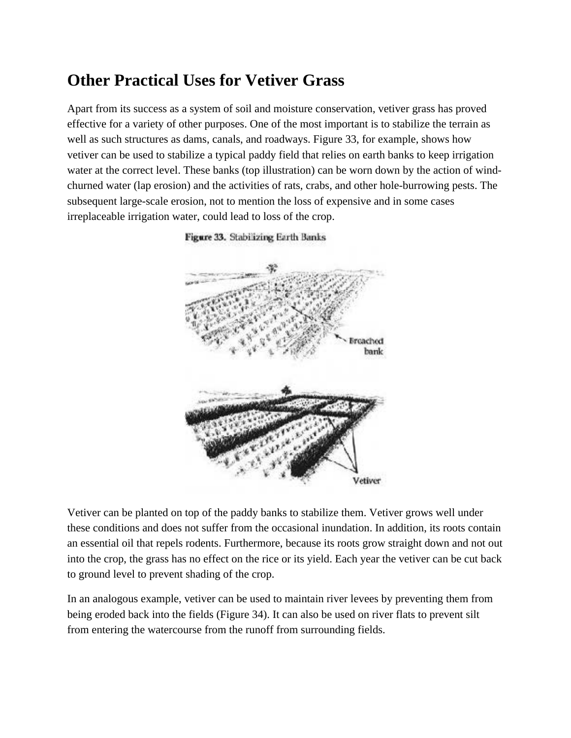### **Other Practical Uses for Vetiver Grass**

Apart from its success as a system of soil and moisture conservation, vetiver grass has proved effective for a variety of other purposes. One of the most important is to stabilize the terrain as well as such structures as dams, canals, and roadways. Figure 33, for example, shows how vetiver can be used to stabilize a typical paddy field that relies on earth banks to keep irrigation water at the correct level. These banks (top illustration) can be worn down by the action of windchurned water (lap erosion) and the activities of rats, crabs, and other hole-burrowing pests. The subsequent large-scale erosion, not to mention the loss of expensive and in some cases irreplaceable irrigation water, could lead to loss of the crop.



Figure 33. Stabilizing Earth Banks

Vetiver can be planted on top of the paddy banks to stabilize them. Vetiver grows well under these conditions and does not suffer from the occasional inundation. In addition, its roots contain an essential oil that repels rodents. Furthermore, because its roots grow straight down and not out into the crop, the grass has no effect on the rice or its yield. Each year the vetiver can be cut back to ground level to prevent shading of the crop.

In an analogous example, vetiver can be used to maintain river levees by preventing them from being eroded back into the fields (Figure 34). It can also be used on river flats to prevent silt from entering the watercourse from the runoff from surrounding fields.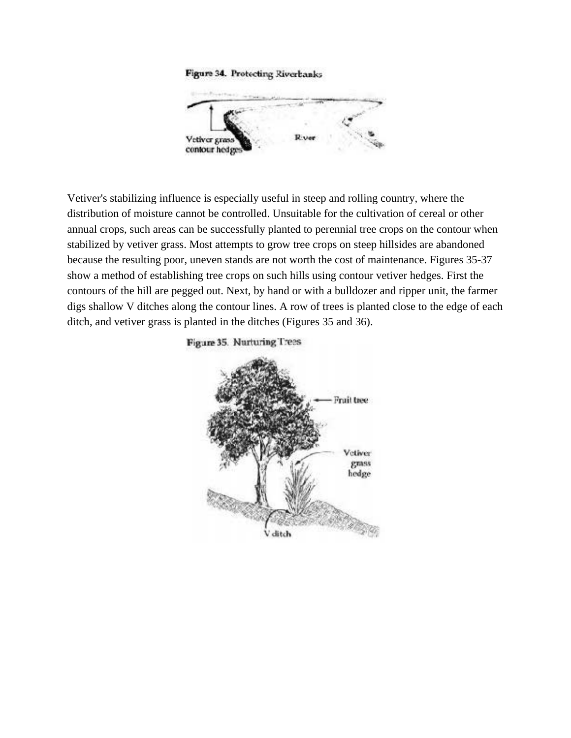Figure 34. Protecting Riverbanks



Vetiver's stabilizing influence is especially useful in steep and rolling country, where the distribution of moisture cannot be controlled. Unsuitable for the cultivation of cereal or other annual crops, such areas can be successfully planted to perennial tree crops on the contour when stabilized by vetiver grass. Most attempts to grow tree crops on steep hillsides are abandoned because the resulting poor, uneven stands are not worth the cost of maintenance. Figures 35-37 show a method of establishing tree crops on such hills using contour vetiver hedges. First the contours of the hill are pegged out. Next, by hand or with a bulldozer and ripper unit, the farmer digs shallow V ditches along the contour lines. A row of trees is planted close to the edge of each ditch, and vetiver grass is planted in the ditches (Figures 35 and 36).



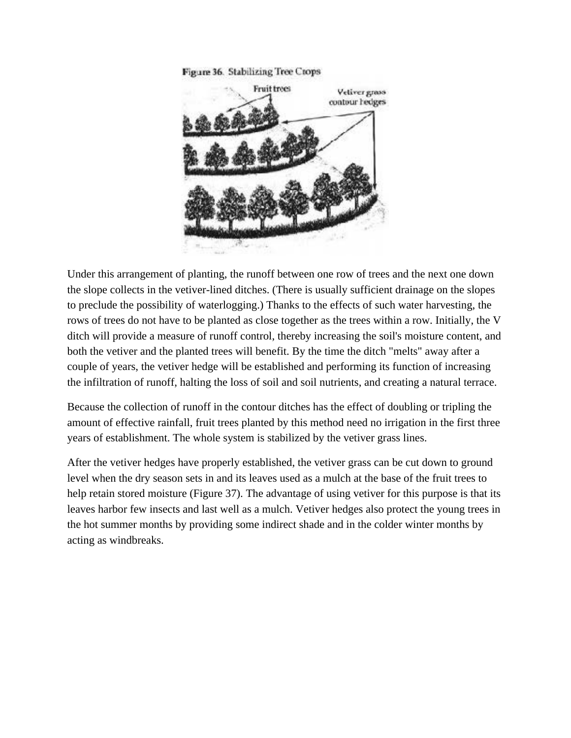#### Figure 36. Stabilizing Tree Crops



Under this arrangement of planting, the runoff between one row of trees and the next one down the slope collects in the vetiver-lined ditches. (There is usually sufficient drainage on the slopes to preclude the possibility of waterlogging.) Thanks to the effects of such water harvesting, the rows of trees do not have to be planted as close together as the trees within a row. Initially, the V ditch will provide a measure of runoff control, thereby increasing the soil's moisture content, and both the vetiver and the planted trees will benefit. By the time the ditch "melts" away after a couple of years, the vetiver hedge will be established and performing its function of increasing the infiltration of runoff, halting the loss of soil and soil nutrients, and creating a natural terrace.

Because the collection of runoff in the contour ditches has the effect of doubling or tripling the amount of effective rainfall, fruit trees planted by this method need no irrigation in the first three years of establishment. The whole system is stabilized by the vetiver grass lines.

After the vetiver hedges have properly established, the vetiver grass can be cut down to ground level when the dry season sets in and its leaves used as a mulch at the base of the fruit trees to help retain stored moisture (Figure 37). The advantage of using vetiver for this purpose is that its leaves harbor few insects and last well as a mulch. Vetiver hedges also protect the young trees in the hot summer months by providing some indirect shade and in the colder winter months by acting as windbreaks.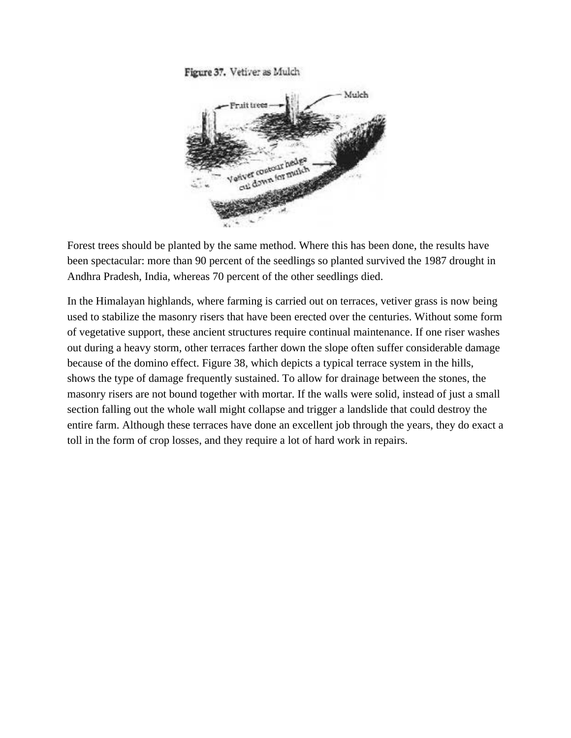Figure 37. Vetiver as Mulch



Forest trees should be planted by the same method. Where this has been done, the results have been spectacular: more than 90 percent of the seedlings so planted survived the 1987 drought in Andhra Pradesh, India, whereas 70 percent of the other seedlings died.

In the Himalayan highlands, where farming is carried out on terraces, vetiver grass is now being used to stabilize the masonry risers that have been erected over the centuries. Without some form of vegetative support, these ancient structures require continual maintenance. If one riser washes out during a heavy storm, other terraces farther down the slope often suffer considerable damage because of the domino effect. Figure 38, which depicts a typical terrace system in the hills, shows the type of damage frequently sustained. To allow for drainage between the stones, the masonry risers are not bound together with mortar. If the walls were solid, instead of just a small section falling out the whole wall might collapse and trigger a landslide that could destroy the entire farm. Although these terraces have done an excellent job through the years, they do exact a toll in the form of crop losses, and they require a lot of hard work in repairs.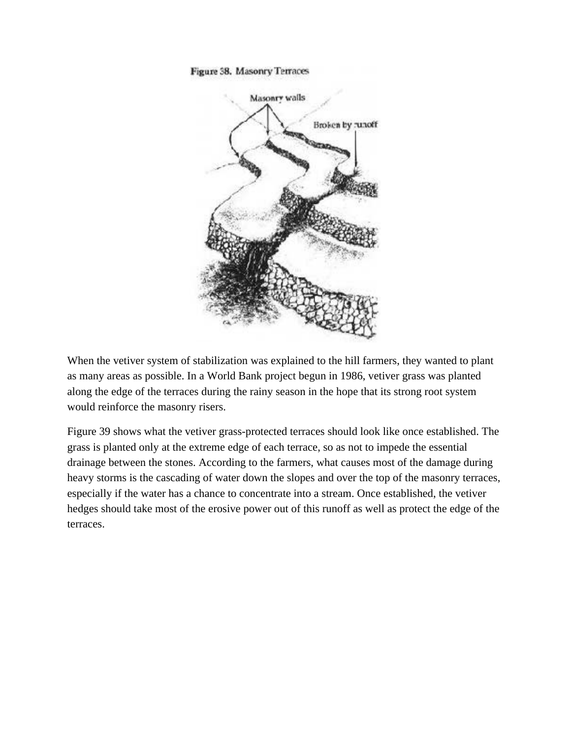Figure 38. Masonry Terraces



When the vetiver system of stabilization was explained to the hill farmers, they wanted to plant as many areas as possible. In a World Bank project begun in 1986, vetiver grass was planted along the edge of the terraces during the rainy season in the hope that its strong root system would reinforce the masonry risers.

Figure 39 shows what the vetiver grass-protected terraces should look like once established. The grass is planted only at the extreme edge of each terrace, so as not to impede the essential drainage between the stones. According to the farmers, what causes most of the damage during heavy storms is the cascading of water down the slopes and over the top of the masonry terraces, especially if the water has a chance to concentrate into a stream. Once established, the vetiver hedges should take most of the erosive power out of this runoff as well as protect the edge of the terraces.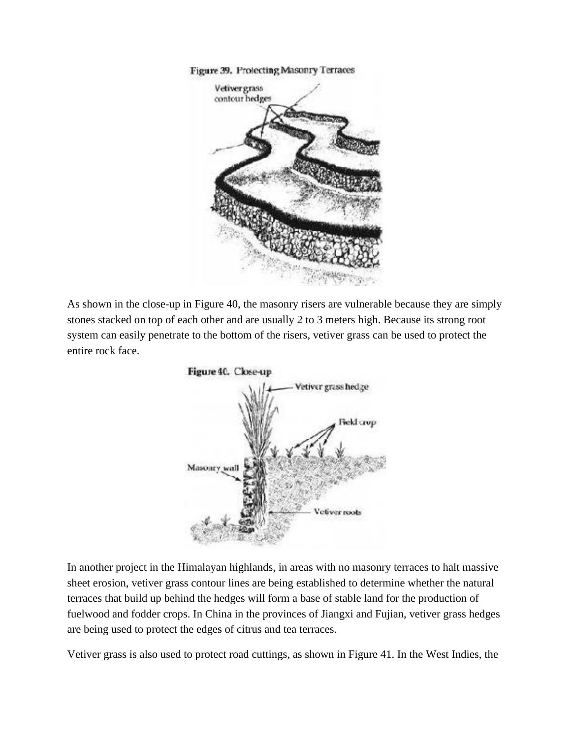Figure 39. Protecting Masonry Terraces



As shown in the close-up in Figure 40, the masonry risers are vulnerable because they are simply stones stacked on top of each other and are usually 2 to 3 meters high. Because its strong root system can easily penetrate to the bottom of the risers, vetiver grass can be used to protect the entire rock face.



In another project in the Himalayan highlands, in areas with no masonry terraces to halt massive sheet erosion, vetiver grass contour lines are being established to determine whether the natural terraces that build up behind the hedges will form a base of stable land for the production of fuelwood and fodder crops. In China in the provinces of Jiangxi and Fujian, vetiver grass hedges are being used to protect the edges of citrus and tea terraces.

Vetiver grass is also used to protect road cuttings, as shown in Figure 41. In the West Indies, the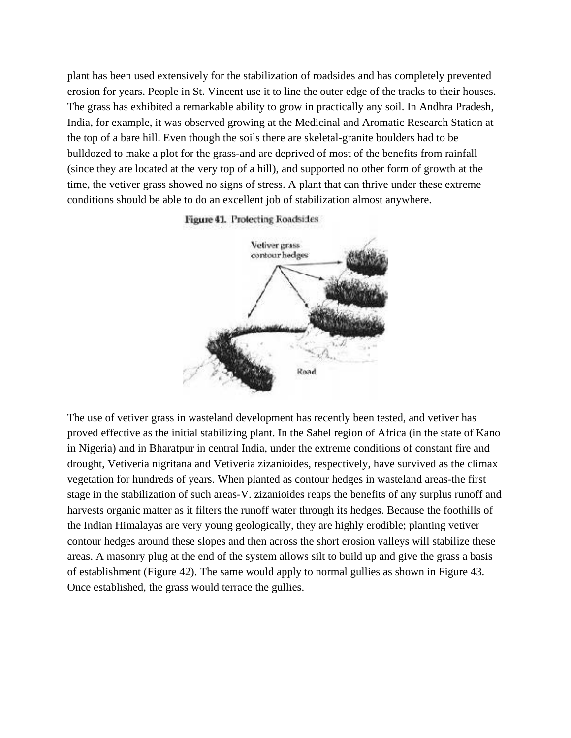plant has been used extensively for the stabilization of roadsides and has completely prevented erosion for years. People in St. Vincent use it to line the outer edge of the tracks to their houses. The grass has exhibited a remarkable ability to grow in practically any soil. In Andhra Pradesh, India, for example, it was observed growing at the Medicinal and Aromatic Research Station at the top of a bare hill. Even though the soils there are skeletal-granite boulders had to be bulldozed to make a plot for the grass-and are deprived of most of the benefits from rainfall (since they are located at the very top of a hill), and supported no other form of growth at the time, the vetiver grass showed no signs of stress. A plant that can thrive under these extreme conditions should be able to do an excellent job of stabilization almost anywhere.





The use of vetiver grass in wasteland development has recently been tested, and vetiver has proved effective as the initial stabilizing plant. In the Sahel region of Africa (in the state of Kano in Nigeria) and in Bharatpur in central India, under the extreme conditions of constant fire and drought, Vetiveria nigritana and Vetiveria zizanioides, respectively, have survived as the climax vegetation for hundreds of years. When planted as contour hedges in wasteland areas-the first stage in the stabilization of such areas-V. zizanioides reaps the benefits of any surplus runoff and harvests organic matter as it filters the runoff water through its hedges. Because the foothills of the Indian Himalayas are very young geologically, they are highly erodible; planting vetiver contour hedges around these slopes and then across the short erosion valleys will stabilize these areas. A masonry plug at the end of the system allows silt to build up and give the grass a basis of establishment (Figure 42). The same would apply to normal gullies as shown in Figure 43. Once established, the grass would terrace the gullies.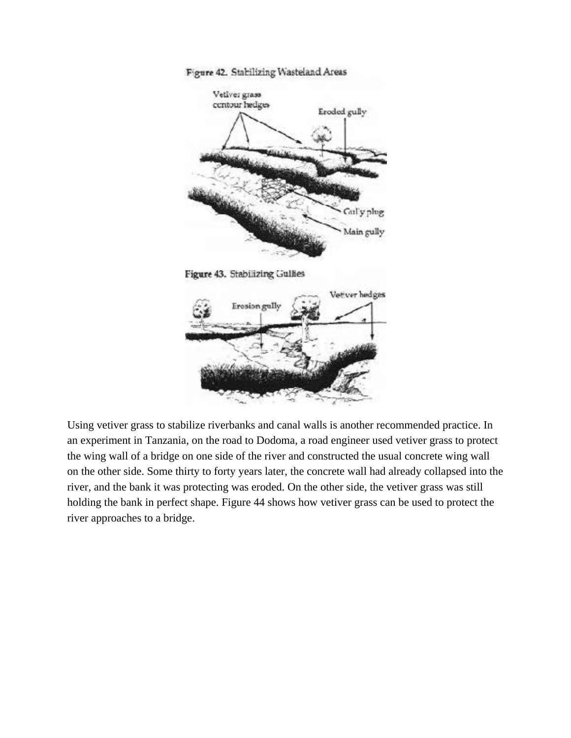

Figure 42. Stabilizing Wasteland Areas



Using vetiver grass to stabilize riverbanks and canal walls is another recommended practice. In an experiment in Tanzania, on the road to Dodoma, a road engineer used vetiver grass to protect the wing wall of a bridge on one side of the river and constructed the usual concrete wing wall on the other side. Some thirty to forty years later, the concrete wall had already collapsed into the river, and the bank it was protecting was eroded. On the other side, the vetiver grass was still holding the bank in perfect shape. Figure 44 shows how vetiver grass can be used to protect the river approaches to a bridge.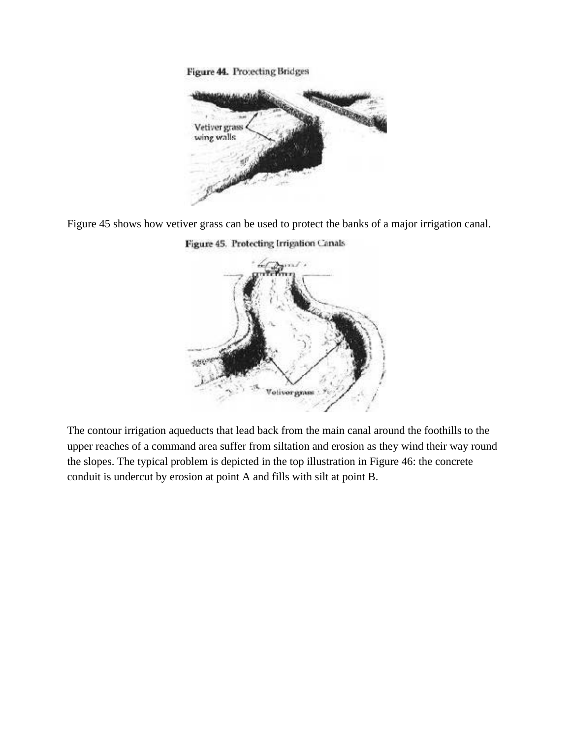#### Figure 44. Protecting Bridges



Figure 45 shows how vetiver grass can be used to protect the banks of a major irrigation canal.



Figure 45. Protecting Irrigation Canals

The contour irrigation aqueducts that lead back from the main canal around the foothills to the upper reaches of a command area suffer from siltation and erosion as they wind their way round the slopes. The typical problem is depicted in the top illustration in Figure 46: the concrete conduit is undercut by erosion at point A and fills with silt at point B.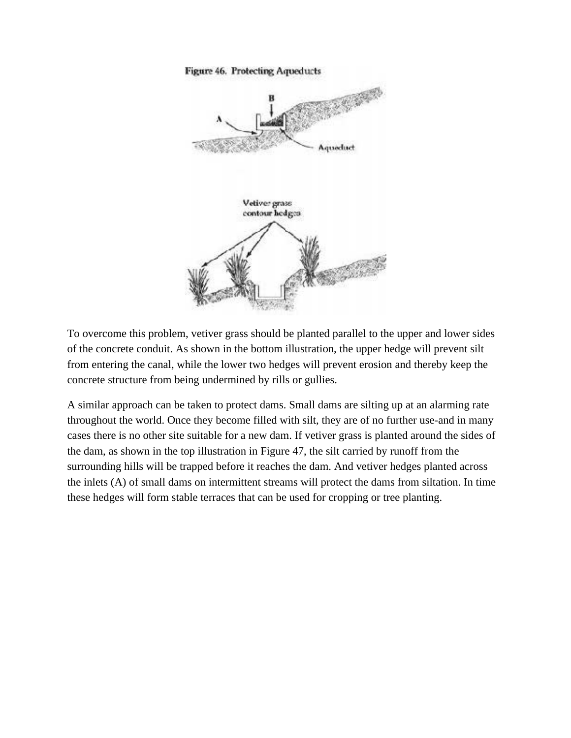

To overcome this problem, vetiver grass should be planted parallel to the upper and lower sides of the concrete conduit. As shown in the bottom illustration, the upper hedge will prevent silt from entering the canal, while the lower two hedges will prevent erosion and thereby keep the concrete structure from being undermined by rills or gullies.

A similar approach can be taken to protect dams. Small dams are silting up at an alarming rate throughout the world. Once they become filled with silt, they are of no further use-and in many cases there is no other site suitable for a new dam. If vetiver grass is planted around the sides of the dam, as shown in the top illustration in Figure 47, the silt carried by runoff from the surrounding hills will be trapped before it reaches the dam. And vetiver hedges planted across the inlets (A) of small dams on intermittent streams will protect the dams from siltation. In time these hedges will form stable terraces that can be used for cropping or tree planting.

Figure 46. Protecting Aqueducts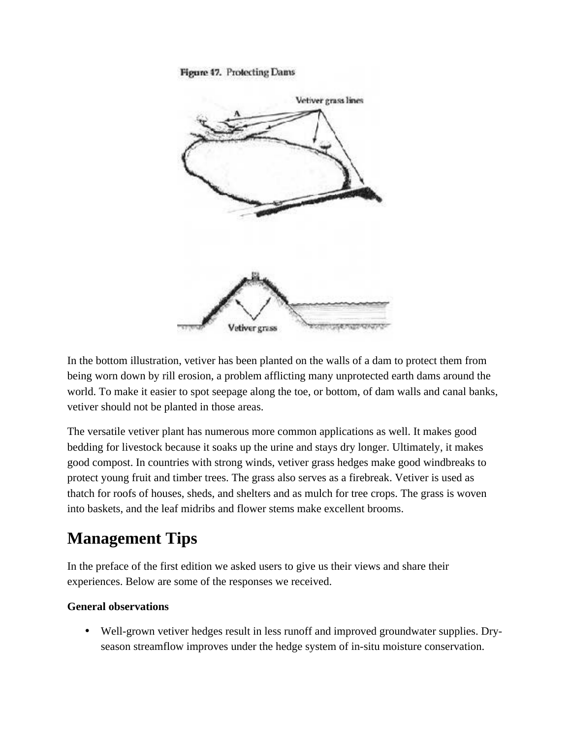#### Figure 47. Protecting Dams



In the bottom illustration, vetiver has been planted on the walls of a dam to protect them from being worn down by rill erosion, a problem afflicting many unprotected earth dams around the world. To make it easier to spot seepage along the toe, or bottom, of dam walls and canal banks, vetiver should not be planted in those areas.

The versatile vetiver plant has numerous more common applications as well. It makes good bedding for livestock because it soaks up the urine and stays dry longer. Ultimately, it makes good compost. In countries with strong winds, vetiver grass hedges make good windbreaks to protect young fruit and timber trees. The grass also serves as a firebreak. Vetiver is used as thatch for roofs of houses, sheds, and shelters and as mulch for tree crops. The grass is woven into baskets, and the leaf midribs and flower stems make excellent brooms.

## **Management Tips**

In the preface of the first edition we asked users to give us their views and share their experiences. Below are some of the responses we received.

### **General observations**

• Well-grown vetiver hedges result in less runoff and improved groundwater supplies. Dryseason streamflow improves under the hedge system of in-situ moisture conservation.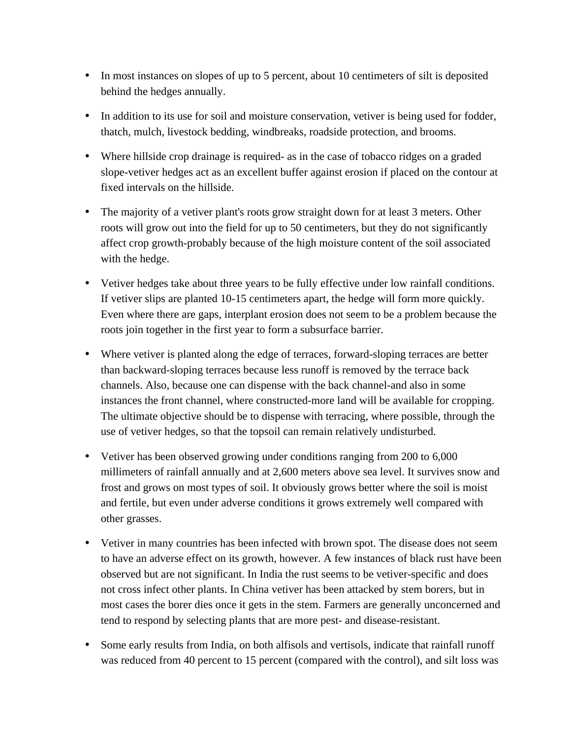- In most instances on slopes of up to 5 percent, about 10 centimeters of silt is deposited behind the hedges annually.
- In addition to its use for soil and moisture conservation, vetiver is being used for fodder, thatch, mulch, livestock bedding, windbreaks, roadside protection, and brooms.
- Where hillside crop drainage is required- as in the case of tobacco ridges on a graded slope-vetiver hedges act as an excellent buffer against erosion if placed on the contour at fixed intervals on the hillside.
- The majority of a vetiver plant's roots grow straight down for at least 3 meters. Other roots will grow out into the field for up to 50 centimeters, but they do not significantly affect crop growth-probably because of the high moisture content of the soil associated with the hedge.
- Vetiver hedges take about three years to be fully effective under low rainfall conditions. If vetiver slips are planted 10-15 centimeters apart, the hedge will form more quickly. Even where there are gaps, interplant erosion does not seem to be a problem because the roots join together in the first year to form a subsurface barrier.
- Where vetiver is planted along the edge of terraces, forward-sloping terraces are better than backward-sloping terraces because less runoff is removed by the terrace back channels. Also, because one can dispense with the back channel-and also in some instances the front channel, where constructed-more land will be available for cropping. The ultimate objective should be to dispense with terracing, where possible, through the use of vetiver hedges, so that the topsoil can remain relatively undisturbed.
- Vetiver has been observed growing under conditions ranging from 200 to 6,000 millimeters of rainfall annually and at 2,600 meters above sea level. It survives snow and frost and grows on most types of soil. It obviously grows better where the soil is moist and fertile, but even under adverse conditions it grows extremely well compared with other grasses.
- Vetiver in many countries has been infected with brown spot. The disease does not seem to have an adverse effect on its growth, however. A few instances of black rust have been observed but are not significant. In India the rust seems to be vetiver-specific and does not cross infect other plants. In China vetiver has been attacked by stem borers, but in most cases the borer dies once it gets in the stem. Farmers are generally unconcerned and tend to respond by selecting plants that are more pest- and disease-resistant.
- Some early results from India, on both alfisols and vertisols, indicate that rainfall runoff was reduced from 40 percent to 15 percent (compared with the control), and silt loss was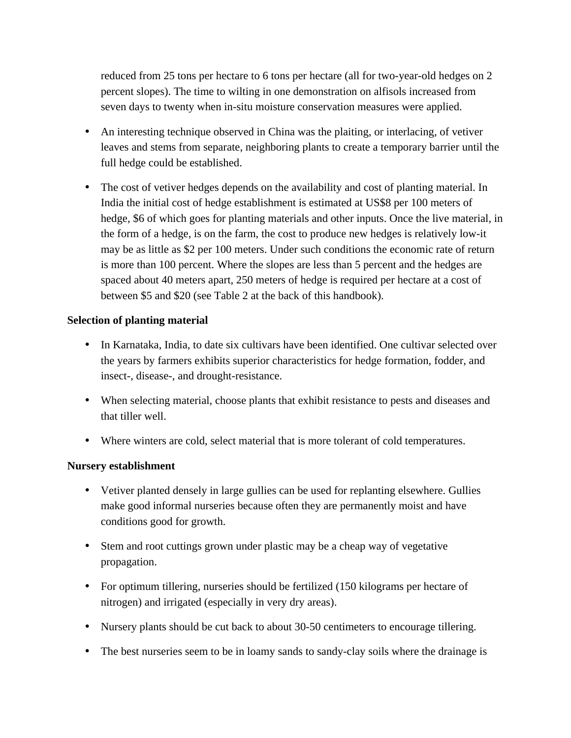reduced from 25 tons per hectare to 6 tons per hectare (all for two-year-old hedges on 2 percent slopes). The time to wilting in one demonstration on alfisols increased from seven days to twenty when in-situ moisture conservation measures were applied.

- An interesting technique observed in China was the plaiting, or interlacing, of vetiver leaves and stems from separate, neighboring plants to create a temporary barrier until the full hedge could be established.
- The cost of vetiver hedges depends on the availability and cost of planting material. In India the initial cost of hedge establishment is estimated at US\$8 per 100 meters of hedge, \$6 of which goes for planting materials and other inputs. Once the live material, in the form of a hedge, is on the farm, the cost to produce new hedges is relatively low-it may be as little as \$2 per 100 meters. Under such conditions the economic rate of return is more than 100 percent. Where the slopes are less than 5 percent and the hedges are spaced about 40 meters apart, 250 meters of hedge is required per hectare at a cost of between \$5 and \$20 (see Table 2 at the back of this handbook).

#### **Selection of planting material**

- In Karnataka, India, to date six cultivars have been identified. One cultivar selected over the years by farmers exhibits superior characteristics for hedge formation, fodder, and insect-, disease-, and drought-resistance.
- When selecting material, choose plants that exhibit resistance to pests and diseases and that tiller well.
- Where winters are cold, select material that is more tolerant of cold temperatures.

#### **Nursery establishment**

- Vetiver planted densely in large gullies can be used for replanting elsewhere. Gullies make good informal nurseries because often they are permanently moist and have conditions good for growth.
- Stem and root cuttings grown under plastic may be a cheap way of vegetative propagation.
- For optimum tillering, nurseries should be fertilized (150 kilograms per hectare of nitrogen) and irrigated (especially in very dry areas).
- Nursery plants should be cut back to about 30-50 centimeters to encourage tillering.
- The best nurseries seem to be in loamy sands to sandy-clay soils where the drainage is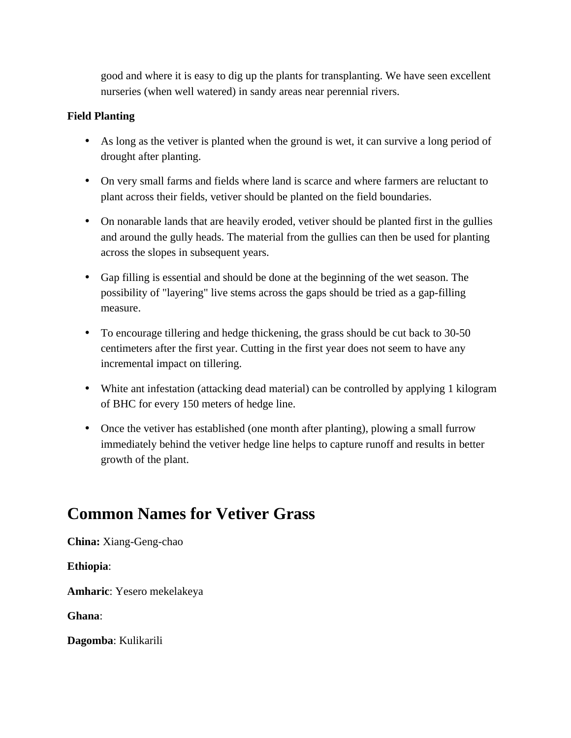good and where it is easy to dig up the plants for transplanting. We have seen excellent nurseries (when well watered) in sandy areas near perennial rivers.

### **Field Planting**

- As long as the vetiver is planted when the ground is wet, it can survive a long period of drought after planting.
- On very small farms and fields where land is scarce and where farmers are reluctant to plant across their fields, vetiver should be planted on the field boundaries.
- On nonarable lands that are heavily eroded, vetiver should be planted first in the gullies and around the gully heads. The material from the gullies can then be used for planting across the slopes in subsequent years.
- Gap filling is essential and should be done at the beginning of the wet season. The possibility of "layering" live stems across the gaps should be tried as a gap-filling measure.
- To encourage tillering and hedge thickening, the grass should be cut back to 30-50 centimeters after the first year. Cutting in the first year does not seem to have any incremental impact on tillering.
- White ant infestation (attacking dead material) can be controlled by applying 1 kilogram of BHC for every 150 meters of hedge line.
- Once the vetiver has established (one month after planting), plowing a small furrow immediately behind the vetiver hedge line helps to capture runoff and results in better growth of the plant.

### **Common Names for Vetiver Grass**

**China:** Xiang-Geng-chao

**Ethiopia**:

**Amharic**: Yesero mekelakeya

**Ghana**:

**Dagomba**: Kulikarili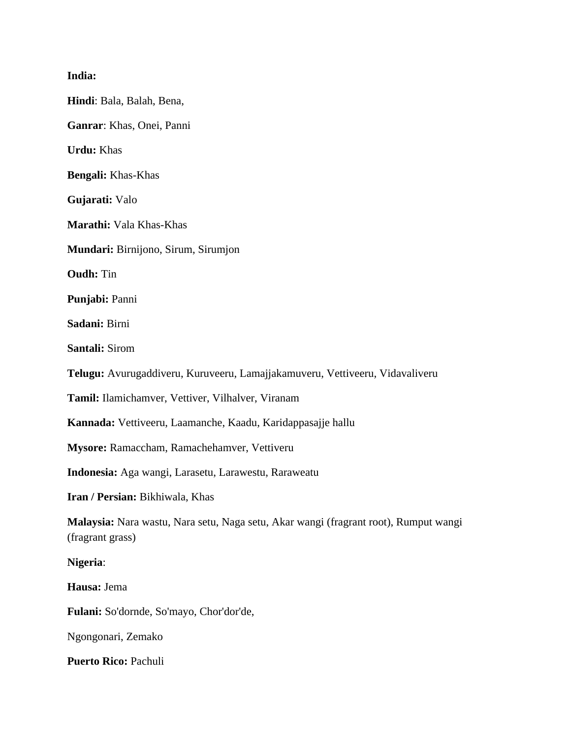| India:                                                                                                   |
|----------------------------------------------------------------------------------------------------------|
| Hindi: Bala, Balah, Bena,                                                                                |
| Ganrar: Khas, Onei, Panni                                                                                |
| <b>Urdu:</b> Khas                                                                                        |
| <b>Bengali:</b> Khas-Khas                                                                                |
| Gujarati: Valo                                                                                           |
| Marathi: Vala Khas-Khas                                                                                  |
| Mundari: Birnijono, Sirum, Sirumjon                                                                      |
| <b>Oudh: Tin</b>                                                                                         |
| Punjabi: Panni                                                                                           |
| Sadani: Birni                                                                                            |
| Santali: Sirom                                                                                           |
| Telugu: Avurugaddiveru, Kuruveeru, Lamajjakamuveru, Vettiveeru, Vidavaliveru                             |
| Tamil: Ilamichamver, Vettiver, Vilhalver, Viranam                                                        |
| Kannada: Vettiveeru, Laamanche, Kaadu, Karidappasajje hallu                                              |
| Mysore: Ramaccham, Ramachehamver, Vettiveru                                                              |
| Indonesia: Aga wangi, Larasetu, Larawestu, Raraweatu                                                     |
| Iran / Persian: Bikhiwala, Khas                                                                          |
| Malaysia: Nara wastu, Nara setu, Naga setu, Akar wangi (fragrant root), Rumput wangi<br>(fragrant grass) |
| Nigeria:                                                                                                 |
| Hausa: Jema                                                                                              |
| Fulani: So'dornde, So'mayo, Chor'dor'de,                                                                 |
| Ngongonari, Zemako                                                                                       |
| Puerto Rico: Pachuli                                                                                     |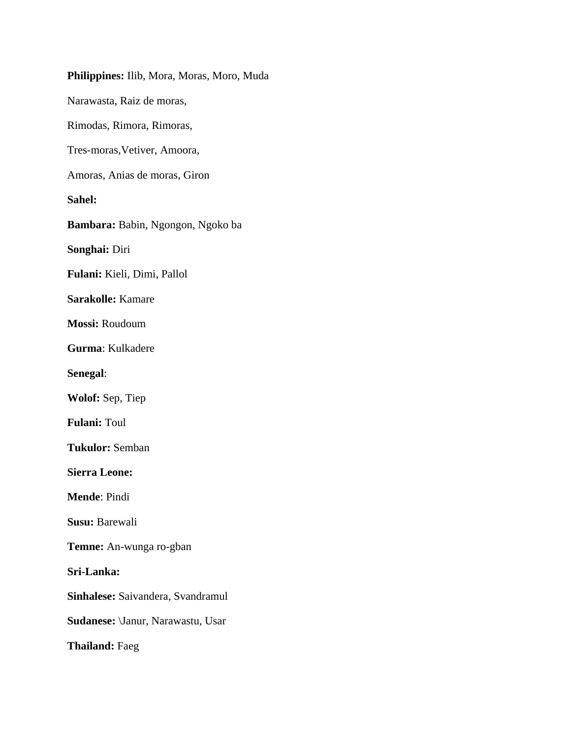| Philippines: Ilib, Mora, Moras, Moro, Muda |
|--------------------------------------------|
| Narawasta, Raiz de moras,                  |
| Rimodas, Rimora, Rimoras,                  |
| Tres-moras, Vetiver, Amoora,               |
| Amoras, Anias de moras, Giron              |
| Sahel:                                     |
| Bambara: Babin, Ngongon, Ngoko ba          |
| <b>Songhai: Diri</b>                       |
| Fulani: Kieli, Dimi, Pallol                |
| Sarakolle: Kamare                          |
| Mossi: Roudoum                             |
| Gurma: Kulkadere                           |
| Senegal:                                   |
| Wolof: Sep, Tiep                           |
| <b>Fulani:</b> Toul                        |
| <b>Tukulor: Semban</b>                     |
| <b>Sierra Leone:</b>                       |
| Mende: Pindi                               |
| <b>Susu:</b> Barewali                      |
| Temne: An-wunga ro-gban                    |
| Sri-Lanka:                                 |
| Sinhalese: Saivandera, Svandramul          |
| Sudanese: <i>Janur</i> , Narawastu, Usar   |
| <b>Thailand:</b> Faeg                      |
|                                            |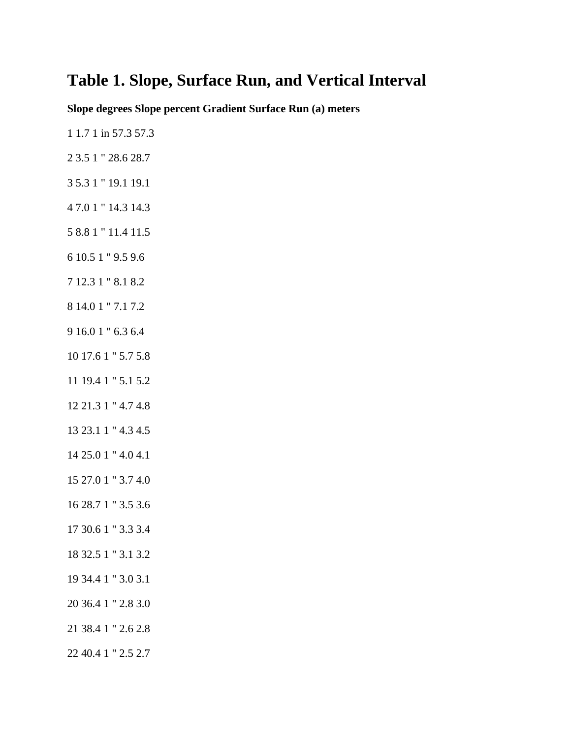### **Table 1. Slope, Surface Run, and Vertical Interval**

**Slope degrees Slope percent Gradient Surface Run (a) meters**

1 1.7 1 in 57.3 57.3 2 3.5 1 " 28.6 28.7 3 5.3 1 " 19.1 19.1 4 7.0 1 " 14.3 14.3 5 8.8 1 " 11.4 11.5 6 10.5 1 " 9.5 9.6 7 12.3 1 " 8.1 8.2 8 14.0 1 " 7.1 7.2 9 16.0 1 " 6.3 6.4 10 17.6 1 " 5.7 5.8 11 19.4 1 " 5.1 5.2 12 21.3 1 " 4.7 4.8 13 23.1 1 " 4.3 4.5 14 25.0 1 " 4.0 4.1 15 27.0 1 " 3.7 4.0 16 28.7 1 " 3.5 3.6 17 30.6 1 " 3.3 3.4 18 32.5 1 " 3.1 3.2 19 34.4 1 " 3.0 3.1 20 36.4 1 " 2.8 3.0 21 38.4 1 " 2.6 2.8 22 40.4 1 " 2.5 2.7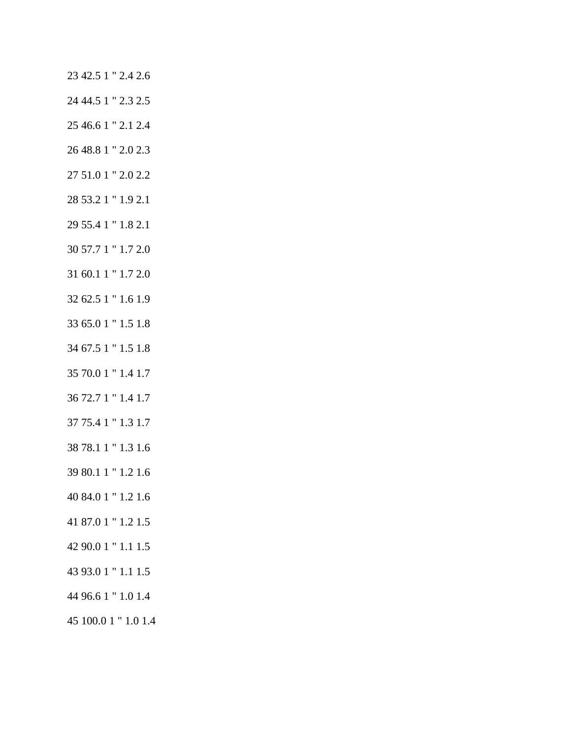23 42.5 1 " 2.4 2.6 24 44.5 1 " 2.3 2.5 25 46.6 1 " 2.1 2.4 26 48.8 1 " 2.0 2.3 27 51.0 1 " 2.0 2.2 28 53.2 1 " 1.9 2.1 29 55.4 1 " 1.8 2.1 30 57.7 1 " 1.7 2.0 31 60.1 1 " 1.7 2.0 32 62.5 1 " 1.6 1.9 33 65.0 1 " 1.5 1.8 34 67.5 1 " 1.5 1.8 35 70.0 1 " 1.4 1.7 36 72.7 1 " 1.4 1.7 37 75.4 1 " 1.3 1.7 38 78.1 1 " 1.3 1.6 39 80.1 1 " 1.2 1.6 40 84.0 1 " 1.2 1.6 41 87.0 1 " 1.2 1.5 42 90.0 1 " 1.1 1.5 43 93.0 1 " 1.1 1.5 44 96.6 1 " 1.0 1.4 45 100.0 1 " 1.0 1.4